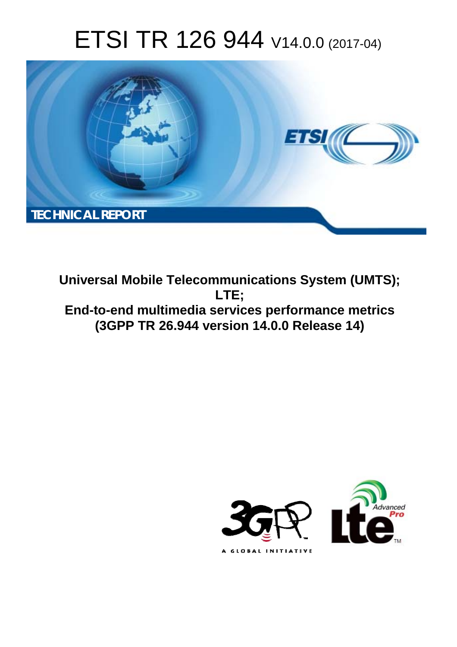# ETSI TR 126 944 V14.0.0 (2017-04)



**Universal Mobile Telecommunications System (UMTS); LTE; End-to-end multimedia services performance metrics (3GPP TR 26.944 version 14.0.0 Release 14)** 

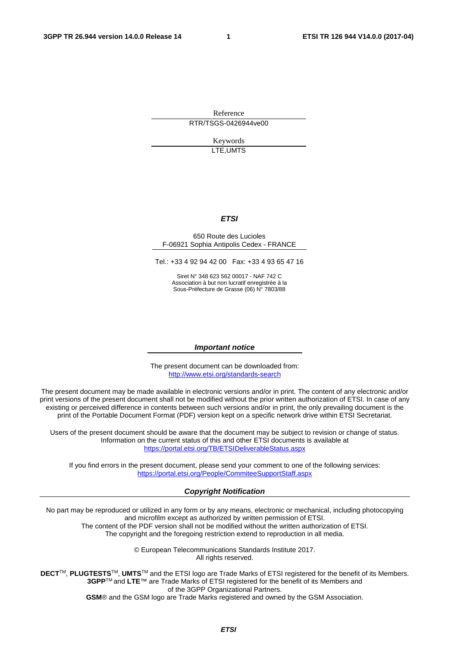Reference RTR/TSGS-0426944ve00

> Keywords LTE,UMTS

#### *ETSI*

#### 650 Route des Lucioles F-06921 Sophia Antipolis Cedex - FRANCE

Tel.: +33 4 92 94 42 00 Fax: +33 4 93 65 47 16

Siret N° 348 623 562 00017 - NAF 742 C Association à but non lucratif enregistrée à la Sous-Préfecture de Grasse (06) N° 7803/88

#### *Important notice*

The present document can be downloaded from: <http://www.etsi.org/standards-search>

The present document may be made available in electronic versions and/or in print. The content of any electronic and/or print versions of the present document shall not be modified without the prior written authorization of ETSI. In case of any existing or perceived difference in contents between such versions and/or in print, the only prevailing document is the print of the Portable Document Format (PDF) version kept on a specific network drive within ETSI Secretariat.

Users of the present document should be aware that the document may be subject to revision or change of status. Information on the current status of this and other ETSI documents is available at <https://portal.etsi.org/TB/ETSIDeliverableStatus.aspx>

If you find errors in the present document, please send your comment to one of the following services: <https://portal.etsi.org/People/CommiteeSupportStaff.aspx>

#### *Copyright Notification*

No part may be reproduced or utilized in any form or by any means, electronic or mechanical, including photocopying and microfilm except as authorized by written permission of ETSI.

The content of the PDF version shall not be modified without the written authorization of ETSI. The copyright and the foregoing restriction extend to reproduction in all media.

> © European Telecommunications Standards Institute 2017. All rights reserved.

**DECT**TM, **PLUGTESTS**TM, **UMTS**TM and the ETSI logo are Trade Marks of ETSI registered for the benefit of its Members. **3GPP**TM and **LTE**™ are Trade Marks of ETSI registered for the benefit of its Members and of the 3GPP Organizational Partners.

**GSM**® and the GSM logo are Trade Marks registered and owned by the GSM Association.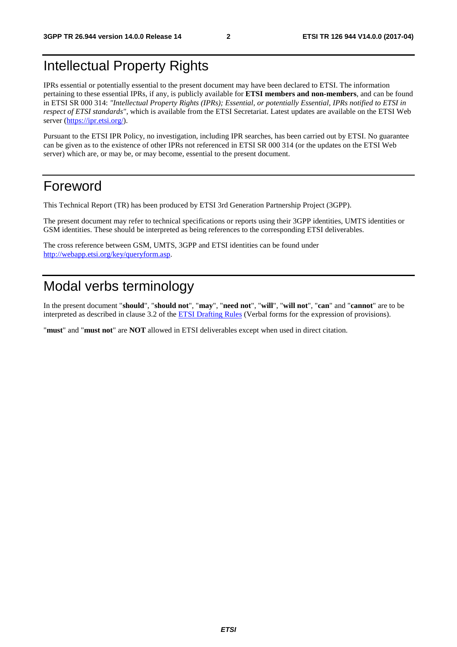## Intellectual Property Rights

IPRs essential or potentially essential to the present document may have been declared to ETSI. The information pertaining to these essential IPRs, if any, is publicly available for **ETSI members and non-members**, and can be found in ETSI SR 000 314: *"Intellectual Property Rights (IPRs); Essential, or potentially Essential, IPRs notified to ETSI in respect of ETSI standards"*, which is available from the ETSI Secretariat. Latest updates are available on the ETSI Web server ([https://ipr.etsi.org/\)](https://ipr.etsi.org/).

Pursuant to the ETSI IPR Policy, no investigation, including IPR searches, has been carried out by ETSI. No guarantee can be given as to the existence of other IPRs not referenced in ETSI SR 000 314 (or the updates on the ETSI Web server) which are, or may be, or may become, essential to the present document.

## Foreword

This Technical Report (TR) has been produced by ETSI 3rd Generation Partnership Project (3GPP).

The present document may refer to technical specifications or reports using their 3GPP identities, UMTS identities or GSM identities. These should be interpreted as being references to the corresponding ETSI deliverables.

The cross reference between GSM, UMTS, 3GPP and ETSI identities can be found under [http://webapp.etsi.org/key/queryform.asp.](http://webapp.etsi.org/key/queryform.asp)

## Modal verbs terminology

In the present document "**should**", "**should not**", "**may**", "**need not**", "**will**", "**will not**", "**can**" and "**cannot**" are to be interpreted as described in clause 3.2 of the [ETSI Drafting Rules](https://portal.etsi.org/Services/editHelp!/Howtostart/ETSIDraftingRules.aspx) (Verbal forms for the expression of provisions).

"**must**" and "**must not**" are **NOT** allowed in ETSI deliverables except when used in direct citation.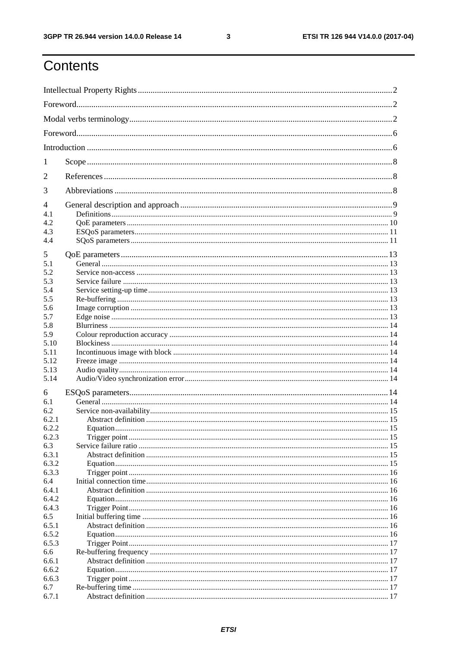$\mathbf{3}$ 

# Contents

| 1                                     |  |  |  |
|---------------------------------------|--|--|--|
| 2                                     |  |  |  |
| 3                                     |  |  |  |
| 4<br>4.1<br>4.2<br>4.3<br>4.4         |  |  |  |
| 5<br>5.1<br>5.2                       |  |  |  |
| 5.3<br>5.4<br>5.5                     |  |  |  |
| 5.6<br>5.7<br>5.8                     |  |  |  |
| 5.9<br>5.10<br>5.11                   |  |  |  |
| 5.12<br>5.13<br>5.14                  |  |  |  |
| 6                                     |  |  |  |
| 6.1<br>6.2<br>6.2.1<br>6.2.2<br>6.2.3 |  |  |  |
| 6.3<br>6.3.1<br>6.3.2                 |  |  |  |
| 6.3.3<br>6.4<br>6.4.1<br>6.4.2        |  |  |  |
| 6.4.3<br>6.5<br>6.5.1                 |  |  |  |
| 6.5.2<br>6.5.3<br>6.6                 |  |  |  |
| 6.6.1<br>6.6.2<br>6.6.3               |  |  |  |
| 6.7<br>6.7.1                          |  |  |  |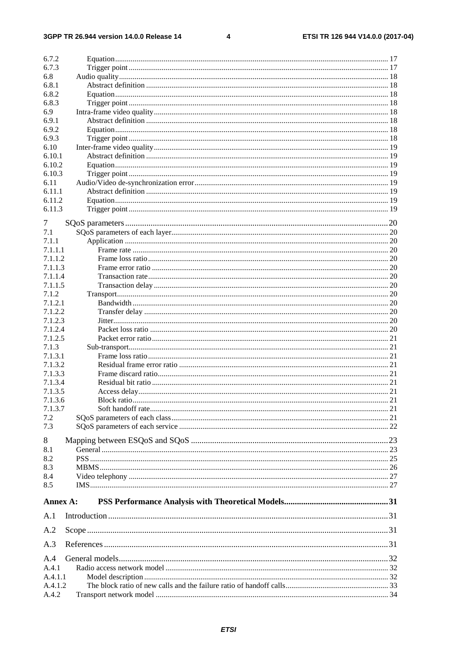#### $\overline{\mathbf{4}}$

| 6.7.2    |                         |    |
|----------|-------------------------|----|
| 6.7.3    |                         |    |
| 6.8      |                         |    |
| 6.8.1    |                         |    |
| 6.8.2    |                         |    |
| 6.8.3    |                         |    |
| 6.9      |                         |    |
| 6.9.1    |                         |    |
| 6.9.2    |                         |    |
| 6.9.3    |                         |    |
| 6.10     |                         |    |
| 6.10.1   |                         |    |
| 6.10.2   |                         |    |
| 6.10.3   |                         |    |
| 6.11     |                         |    |
| 6.11.1   |                         |    |
| 6.11.2   |                         |    |
| 6.11.3   |                         |    |
| 7        |                         |    |
| 7.1      |                         |    |
| 7.1.1    |                         |    |
| 7.1.1.1  |                         |    |
| 7.1.1.2  |                         |    |
| 7.1.1.3  |                         |    |
| 7.1.1.4  |                         |    |
| 7.1.1.5  |                         |    |
| 7.1.2    |                         |    |
| 7.1.2.1  |                         |    |
| 7.1.2.2  |                         |    |
| 7.1.2.3  |                         |    |
| 7.1.2.4  |                         |    |
| 7.1.2.5  |                         |    |
| 7.1.3    |                         |    |
| 7.1.3.1  |                         |    |
| 7.1.3.2  |                         |    |
| 7.1.3.3  |                         |    |
| 7.1.3.4  |                         |    |
| 7.1.3.5  |                         |    |
| 7.1.3.6  |                         |    |
| 7.1.3.7  |                         |    |
| 7.2      |                         |    |
| 7.3      |                         |    |
| 8        |                         |    |
| 8.1      |                         |    |
| 8.2      |                         |    |
| 8.3      |                         |    |
| 8.4      |                         |    |
| 8.5      |                         |    |
| Annex A: |                         |    |
| A.1      |                         |    |
|          |                         |    |
| A.2      |                         |    |
| A.3      |                         |    |
| A.4      |                         |    |
| A.4.1    |                         |    |
| A.4.1.1  |                         |    |
| A.4.1.2  |                         |    |
| A.4.2    | Transport network model | 34 |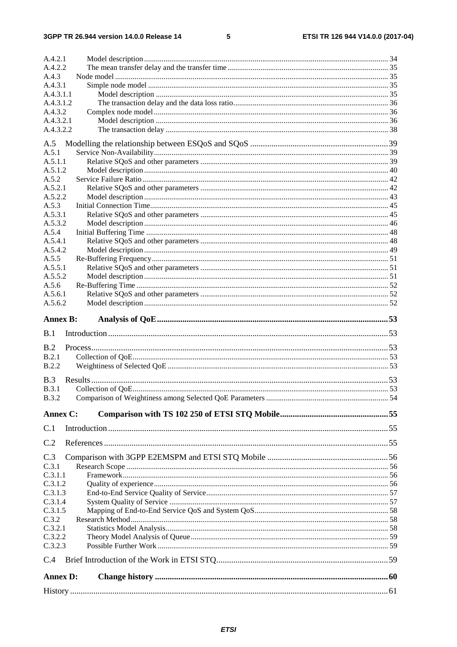#### $5\phantom{a}$

| A.4.2.2            |  |
|--------------------|--|
| A.4.3              |  |
| A.4.3.1            |  |
| A.4.3.1.1          |  |
| A.4.3.1.2          |  |
| A.4.3.2            |  |
| A.4.3.2.1          |  |
| A.4.3.2.2          |  |
| A.5                |  |
| A.5.1              |  |
| A.5.1.1            |  |
| A.5.1.2            |  |
| A.5.2              |  |
| A.5.2.1<br>A.5.2.2 |  |
| A.5.3              |  |
| A.5.3.1            |  |
| A.5.3.2            |  |
| A.5.4              |  |
| A.5.4.1            |  |
| A.5.4.2            |  |
| A.5.5              |  |
| A.5.5.1<br>A.5.5.2 |  |
| A.5.6              |  |
| A.5.6.1            |  |
| A.5.6.2            |  |
|                    |  |
| <b>Annex B:</b>    |  |
| B.1                |  |
|                    |  |
| B.2                |  |
| B.2.1              |  |
| B.2.2              |  |
| B.3                |  |
| B.3.1              |  |
| <b>B.3.2</b>       |  |
| Annex C:           |  |
| C.1                |  |
| C.2                |  |
|                    |  |
| C.3                |  |
| C.3.1<br>C.3.1.1   |  |
| C.3.1.2            |  |
| C.3.1.3            |  |
| C.3.1.4            |  |
| C.3.1.5            |  |
| C.3.2              |  |
| C.3.2.1            |  |
| C.3.2.2<br>C.3.2.3 |  |
| C.4                |  |
|                    |  |
| <b>Annex D:</b>    |  |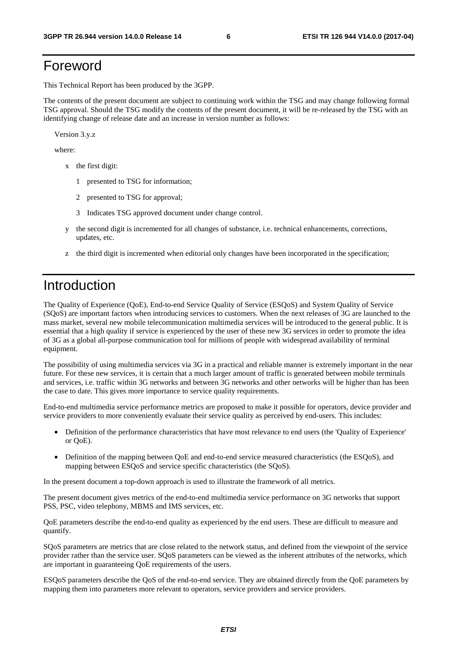## Foreword

This Technical Report has been produced by the 3GPP.

The contents of the present document are subject to continuing work within the TSG and may change following formal TSG approval. Should the TSG modify the contents of the present document, it will be re-released by the TSG with an identifying change of release date and an increase in version number as follows:

Version 3.y.z

where:

- x the first digit:
	- 1 presented to TSG for information;
	- 2 presented to TSG for approval;
	- 3 Indicates TSG approved document under change control.
- y the second digit is incremented for all changes of substance, i.e. technical enhancements, corrections, updates, etc.
- z the third digit is incremented when editorial only changes have been incorporated in the specification;

## Introduction

The Quality of Experience (QoE), End-to-end Service Quality of Service (ESQoS) and System Quality of Service (SQoS) are important factors when introducing services to customers. When the next releases of 3G are launched to the mass market, several new mobile telecommunication multimedia services will be introduced to the general public. It is essential that a high quality if service is experienced by the user of these new 3G services in order to promote the idea of 3G as a global all-purpose communication tool for millions of people with widespread availability of terminal equipment.

The possibility of using multimedia services via 3G in a practical and reliable manner is extremely important in the near future. For these new services, it is certain that a much larger amount of traffic is generated between mobile terminals and services, i.e. traffic within 3G networks and between 3G networks and other networks will be higher than has been the case to date. This gives more importance to service quality requirements.

End-to-end multimedia service performance metrics are proposed to make it possible for operators, device provider and service providers to more conveniently evaluate their service quality as perceived by end-users. This includes:

- Definition of the performance characteristics that have most relevance to end users (the 'Quality of Experience' or QoE).
- Definition of the mapping between QoE and end-to-end service measured characteristics (the ESQoS), and mapping between ESQoS and service specific characteristics (the SQoS).

In the present document a top-down approach is used to illustrate the framework of all metrics.

The present document gives metrics of the end-to-end multimedia service performance on 3G networks that support PSS, PSC, video telephony, MBMS and IMS services, etc.

QoE parameters describe the end-to-end quality as experienced by the end users. These are difficult to measure and quantify.

SQoS parameters are metrics that are close related to the network status, and defined from the viewpoint of the service provider rather than the service user. SQoS parameters can be viewed as the inherent attributes of the networks, which are important in guaranteeing QoE requirements of the users.

ESQoS parameters describe the QoS of the end-to-end service. They are obtained directly from the QoE parameters by mapping them into parameters more relevant to operators, service providers and service providers.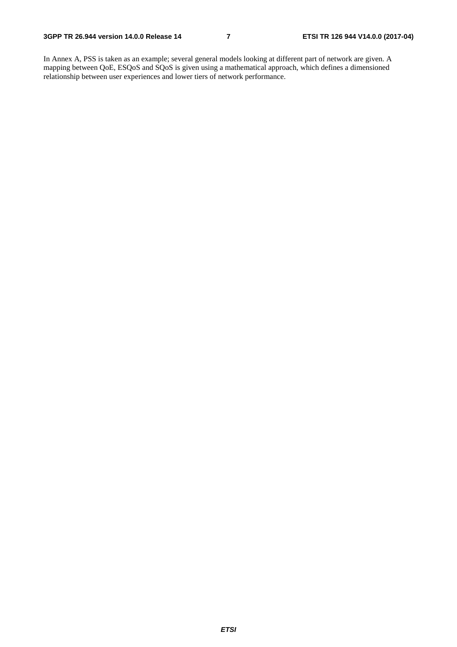In Annex A, PSS is taken as an example; several general models looking at different part of network are given. A mapping between QoE, ESQoS and SQoS is given using a mathematical approach, which defines a dimensioned relationship between user experiences and lower tiers of network performance.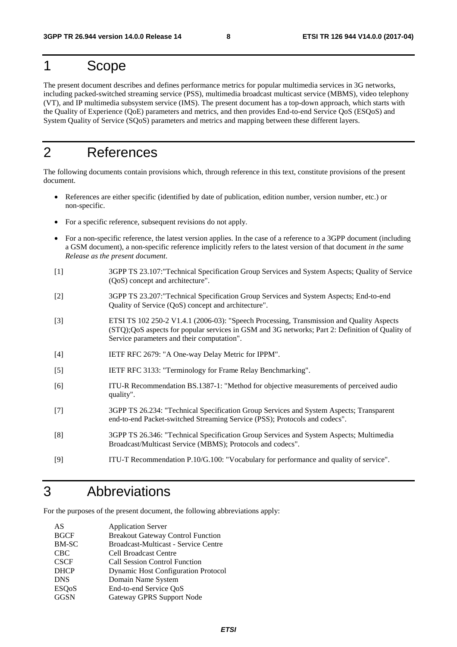## 1 Scope

The present document describes and defines performance metrics for popular multimedia services in 3G networks, including packed-switched streaming service (PSS), multimedia broadcast multicast service (MBMS), video telephony (VT), and IP multimedia subsystem service (IMS). The present document has a top-down approach, which starts with the Quality of Experience (QoE) parameters and metrics, and then provides End-to-end Service QoS (ESQoS) and System Quality of Service (SQoS) parameters and metrics and mapping between these different layers.

## 2 References

The following documents contain provisions which, through reference in this text, constitute provisions of the present document.

- References are either specific (identified by date of publication, edition number, version number, etc.) or non-specific.
- For a specific reference, subsequent revisions do not apply.
- For a non-specific reference, the latest version applies. In the case of a reference to a 3GPP document (including a GSM document), a non-specific reference implicitly refers to the latest version of that document *in the same Release as the present document*.
- [1] 3GPP TS 23.107:"Technical Specification Group Services and System Aspects; Quality of Service (QoS) concept and architecture".
- [2] 3GPP TS 23.207:"Technical Specification Group Services and System Aspects; End-to-end Quality of Service (QoS) concept and architecture".
- [3] ETSI TS 102 250-2 V1.4.1 (2006-03): "Speech Processing, Transmission and Quality Aspects (STQ);QoS aspects for popular services in GSM and 3G networks; Part 2: Definition of Quality of Service parameters and their computation".
- [4] IETF RFC 2679: "A One-way Delay Metric for IPPM".
- [5] IETF RFC 3133: "Terminology for Frame Relay Benchmarking".
- [6] ITU-R Recommendation BS.1387-1: "Method for objective measurements of perceived audio quality".
- [7] 3GPP TS 26.234: "Technical Specification Group Services and System Aspects; Transparent end-to-end Packet-switched Streaming Service (PSS); Protocols and codecs".
- [8] 3GPP TS 26.346: "Technical Specification Group Services and System Aspects; Multimedia Broadcast/Multicast Service (MBMS); Protocols and codecs".
- [9] ITU-T Recommendation P.10/G.100: "Vocabulary for performance and quality of service".

## 3 Abbreviations

For the purposes of the present document, the following abbreviations apply:

| AS           | <b>Application Server</b>                  |
|--------------|--------------------------------------------|
| <b>BGCF</b>  | <b>Breakout Gateway Control Function</b>   |
| BM-SC        | Broadcast-Multicast - Service Centre       |
| <b>CBC</b>   | <b>Cell Broadcast Centre</b>               |
| <b>CSCF</b>  | <b>Call Session Control Function</b>       |
| <b>DHCP</b>  | <b>Dynamic Host Configuration Protocol</b> |
| <b>DNS</b>   | Domain Name System                         |
| <b>ESQoS</b> | End-to-end Service QoS                     |
| <b>GGSN</b>  | <b>Gateway GPRS Support Node</b>           |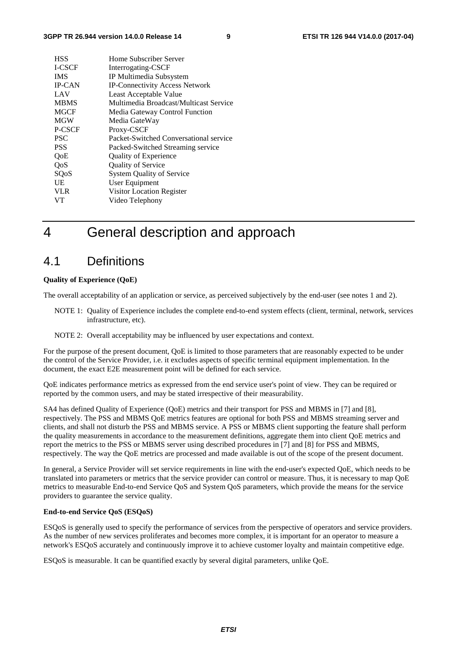| <b>HSS</b>    | Home Subscriber Server                 |
|---------------|----------------------------------------|
| <b>I-CSCF</b> | Interrogating-CSCF                     |
| <b>IMS</b>    | IP Multimedia Subsystem                |
| <b>IP-CAN</b> | <b>IP-Connectivity Access Network</b>  |
| LAV           | Least Acceptable Value                 |
| <b>MBMS</b>   | Multimedia Broadcast/Multicast Service |
| <b>MGCF</b>   | Media Gateway Control Function         |
| <b>MGW</b>    | Media GateWay                          |
| P-CSCF        | Proxy-CSCF                             |
| <b>PSC</b>    | Packet-Switched Conversational service |
| <b>PSS</b>    | Packed-Switched Streaming service      |
| QoE           | <b>Quality of Experience</b>           |
| QoS           | <b>Quality of Service</b>              |
| SQoS          | <b>System Quality of Service</b>       |
| UE            | User Equipment                         |
| <b>VLR</b>    | Visitor Location Register              |
| VT            | Video Telephony                        |
|               |                                        |

## 4 General description and approach

### 4.1 Definitions

#### **Quality of Experience (QoE)**

The overall acceptability of an application or service, as perceived subjectively by the end-user (see notes 1 and 2).

- NOTE 1: Quality of Experience includes the complete end-to-end system effects (client, terminal, network, services infrastructure, etc).
- NOTE 2: Overall acceptability may be influenced by user expectations and context.

For the purpose of the present document, QoE is limited to those parameters that are reasonably expected to be under the control of the Service Provider, i.e. it excludes aspects of specific terminal equipment implementation. In the document, the exact E2E measurement point will be defined for each service.

QoE indicates performance metrics as expressed from the end service user's point of view. They can be required or reported by the common users, and may be stated irrespective of their measurability.

SA4 has defined Quality of Experience (QoE) metrics and their transport for PSS and MBMS in [7] and [8], respectively. The PSS and MBMS QoE metrics features are optional for both PSS and MBMS streaming server and clients, and shall not disturb the PSS and MBMS service. A PSS or MBMS client supporting the feature shall perform the quality measurements in accordance to the measurement definitions, aggregate them into client QoE metrics and report the metrics to the PSS or MBMS server using described procedures in [7] and [8] for PSS and MBMS, respectively. The way the QoE metrics are processed and made available is out of the scope of the present document.

In general, a Service Provider will set service requirements in line with the end-user's expected QoE, which needs to be translated into parameters or metrics that the service provider can control or measure. Thus, it is necessary to map QoE metrics to measurable End-to-end Service QoS and System QoS parameters, which provide the means for the service providers to guarantee the service quality.

#### **End-to-end Service QoS (ESQoS)**

ESQoS is generally used to specify the performance of services from the perspective of operators and service providers. As the number of new services proliferates and becomes more complex, it is important for an operator to measure a network's ESQoS accurately and continuously improve it to achieve customer loyalty and maintain competitive edge.

ESQoS is measurable. It can be quantified exactly by several digital parameters, unlike QoE.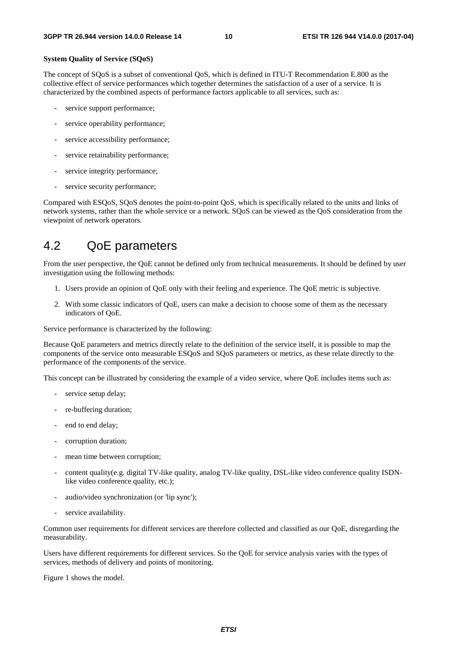#### **System Quality of Service (SQoS)**

The concept of SQoS is a subset of conventional QoS, which is defined in ITU-T Recommendation E.800 as the collective effect of service performances which together determines the satisfaction of a user of a service. It is characterized by the combined aspects of performance factors applicable to all services, such as:

- service support performance;
- service operability performance;
- service accessibility performance;
- service retainability performance;
- service integrity performance;
- service security performance;

Compared with ESQoS, SQoS denotes the point-to-point QoS, which is specifically related to the units and links of network systems, rather than the whole service or a network. SQoS can be viewed as the QoS consideration from the viewpoint of network operators.

## 4.2 QoE parameters

From the user perspective, the QoE cannot be defined only from technical measurements. It should be defined by user investigation using the following methods:

- 1. Users provide an opinion of QoE only with their feeling and experience. The QoE metric is subjective.
- 2. With some classic indicators of QoE, users can make a decision to choose some of them as the necessary indicators of QoE.

Service performance is characterized by the following:

Because QoE parameters and metrics directly relate to the definition of the service itself, it is possible to map the components of the service onto measurable ESQoS and SQoS parameters or metrics, as these relate directly to the performance of the components of the service.

This concept can be illustrated by considering the example of a video service, where QoE includes items such as:

- service setup delay;
- re-buffering duration:
- end to end delay;
- corruption duration;
- mean time between corruption;
- content quality(e.g. digital TV-like quality, analog TV-like quality, DSL-like video conference quality ISDNlike video conference quality, etc.);
- audio/video synchronization (or 'lip sync');
- service availability.

Common user requirements for different services are therefore collected and classified as our QoE, disregarding the measurability.

Users have different requirements for different services. So the QoE for service analysis varies with the types of services, methods of delivery and points of monitoring.

Figure 1 shows the model.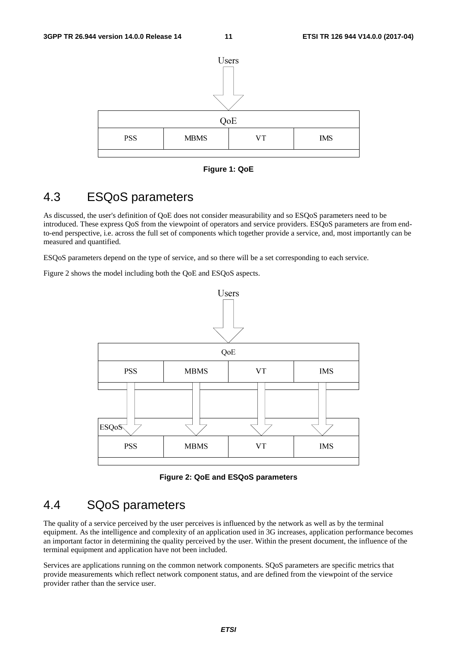

**Figure 1: QoE** 

## 4.3 ESQoS parameters

As discussed, the user's definition of QoE does not consider measurability and so ESQoS parameters need to be introduced. These express QoS from the viewpoint of operators and service providers. ESQoS parameters are from endto-end perspective, i.e. across the full set of components which together provide a service, and, most importantly can be measured and quantified.

ESQoS parameters depend on the type of service, and so there will be a set corresponding to each service.

Figure 2 shows the model including both the QoE and ESQoS aspects.



**Figure 2: QoE and ESQoS parameters** 

## 4.4 SQoS parameters

The quality of a service perceived by the user perceives is influenced by the network as well as by the terminal equipment. As the intelligence and complexity of an application used in 3G increases, application performance becomes an important factor in determining the quality perceived by the user. Within the present document, the influence of the terminal equipment and application have not been included.

Services are applications running on the common network components. SQoS parameters are specific metrics that provide measurements which reflect network component status, and are defined from the viewpoint of the service provider rather than the service user.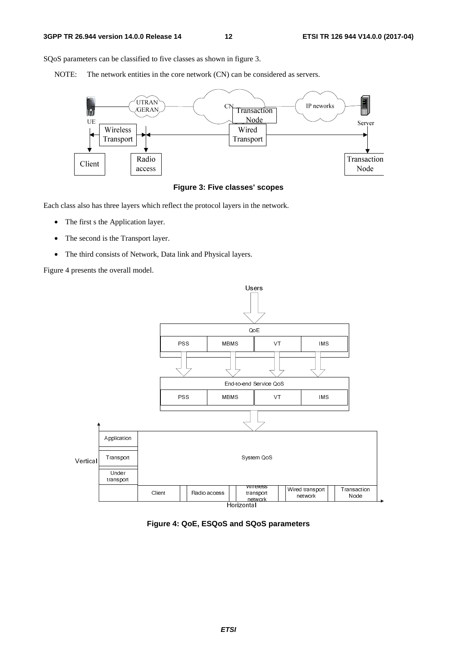SQoS parameters can be classified to five classes as shown in figure 3.

NOTE: The network entities in the core network (CN) can be considered as servers.



#### **Figure 3: Five classes' scopes**

Each class also has three layers which reflect the protocol layers in the network.

- The first s the Application layer.
- The second is the Transport layer.
- The third consists of Network, Data link and Physical layers.

Figure 4 presents the overall model.



**Figure 4: QoE, ESQoS and SQoS parameters**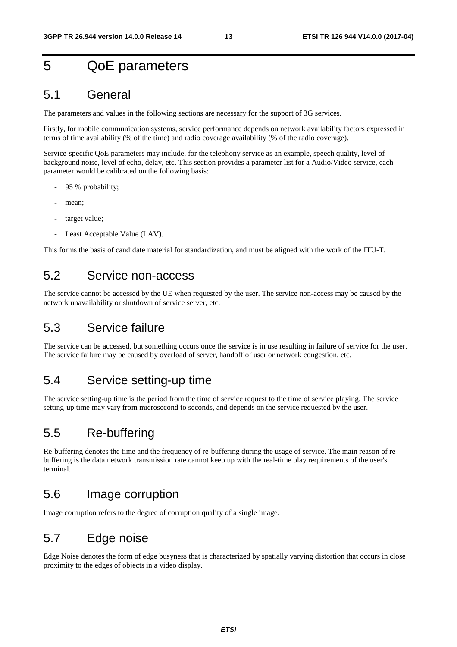## 5 QoE parameters

### 5.1 General

The parameters and values in the following sections are necessary for the support of 3G services.

Firstly, for mobile communication systems, service performance depends on network availability factors expressed in terms of time availability (% of the time) and radio coverage availability (% of the radio coverage).

Service-specific QoE parameters may include, for the telephony service as an example, speech quality, level of background noise, level of echo, delay, etc. This section provides a parameter list for a Audio/Video service, each parameter would be calibrated on the following basis:

- 95 % probability;
- mean;
- target value:
- Least Acceptable Value (LAV).

This forms the basis of candidate material for standardization, and must be aligned with the work of the ITU-T.

## 5.2 Service non-access

The service cannot be accessed by the UE when requested by the user. The service non-access may be caused by the network unavailability or shutdown of service server, etc.

## 5.3 Service failure

The service can be accessed, but something occurs once the service is in use resulting in failure of service for the user. The service failure may be caused by overload of server, handoff of user or network congestion, etc.

## 5.4 Service setting-up time

The service setting-up time is the period from the time of service request to the time of service playing. The service setting-up time may vary from microsecond to seconds, and depends on the service requested by the user.

## 5.5 Re-buffering

Re-buffering denotes the time and the frequency of re-buffering during the usage of service. The main reason of rebuffering is the data network transmission rate cannot keep up with the real-time play requirements of the user's terminal.

### 5.6 Image corruption

Image corruption refers to the degree of corruption quality of a single image.

## 5.7 Edge noise

Edge Noise denotes the form of edge busyness that is characterized by spatially varying distortion that occurs in close proximity to the edges of objects in a video display.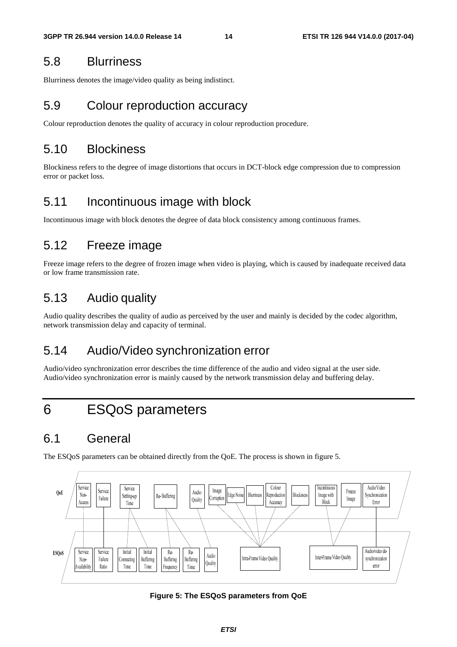## 5.8 Blurriness

Blurriness denotes the image/video quality as being indistinct.

## 5.9 Colour reproduction accuracy

Colour reproduction denotes the quality of accuracy in colour reproduction procedure.

## 5.10 Blockiness

Blockiness refers to the degree of image distortions that occurs in DCT-block edge compression due to compression error or packet loss.

## 5.11 Incontinuous image with block

Incontinuous image with block denotes the degree of data block consistency among continuous frames.

## 5.12 Freeze image

Freeze image refers to the degree of frozen image when video is playing, which is caused by inadequate received data or low frame transmission rate.

## 5.13 Audio quality

Audio quality describes the quality of audio as perceived by the user and mainly is decided by the codec algorithm, network transmission delay and capacity of terminal.

## 5.14 Audio/Video synchronization error

Audio/video synchronization error describes the time difference of the audio and video signal at the user side. Audio/video synchronization error is mainly caused by the network transmission delay and buffering delay.

# 6 ESQoS parameters

## 6.1 General

The ESQoS parameters can be obtained directly from the QoE. The process is shown in figure 5.



**Figure 5: The ESQoS parameters from QoE**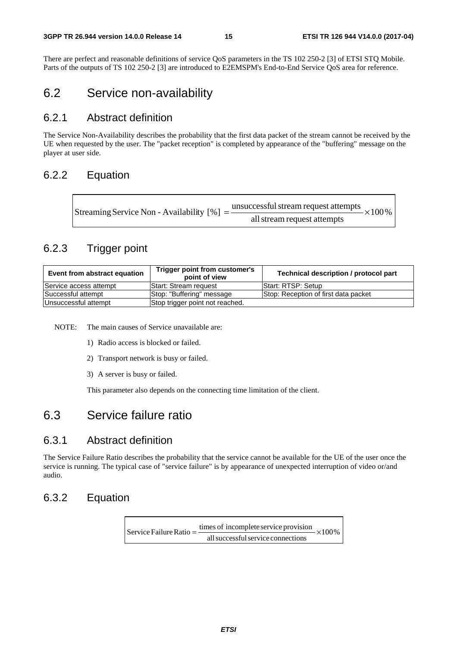There are perfect and reasonable definitions of service QoS parameters in the TS 102 250-2 [3] of ETSI STQ Mobile. Parts of the outputs of TS 102 250-2 [3] are introduced to E2EMSPM's End-to-End Service QoS area for reference.

## 6.2 Service non-availability

### 6.2.1 Abstract definition

The Service Non-Availability describes the probability that the first data packet of the stream cannot be received by the UE when requested by the user. The "packet reception" is completed by appearance of the "buffering" message on the player at user side.

### 6.2.2 Equation

| Streaming Service Non - Availability [%] = $\frac{\text{unsuccessful stream request attempts}}{\text{}} \times 100\%$ |
|-----------------------------------------------------------------------------------------------------------------------|
| all stream request attempts                                                                                           |

### 6.2.3 Trigger point

| Event from abstract equation                            | Trigger point from customer's<br>point of view | Technical description / protocol part |
|---------------------------------------------------------|------------------------------------------------|---------------------------------------|
| Service access attempt                                  | <b>Start: Stream request</b>                   | Start: RTSP: Setup                    |
| Successful attempt                                      | Stop: "Buffering" message                      | Stop: Reception of first data packet  |
| Stop trigger point not reached.<br>Unsuccessful attempt |                                                |                                       |

NOTE: The main causes of Service unavailable are:

- 1) Radio access is blocked or failed.
- 2) Transport network is busy or failed.
- 3) A server is busy or failed.

This parameter also depends on the connecting time limitation of the client.

## 6.3 Service failure ratio

### 6.3.1 Abstract definition

The Service Failure Ratio describes the probability that the service cannot be available for the UE of the user once the service is running. The typical case of "service failure" is by appearance of unexpected interruption of video or/and audio.

### 6.3.2 Equation

 $\times100\%$ allsuccessfulservice connections Service Failure Ratio =  $\frac{\text{times of incomplete service provision}}{1}$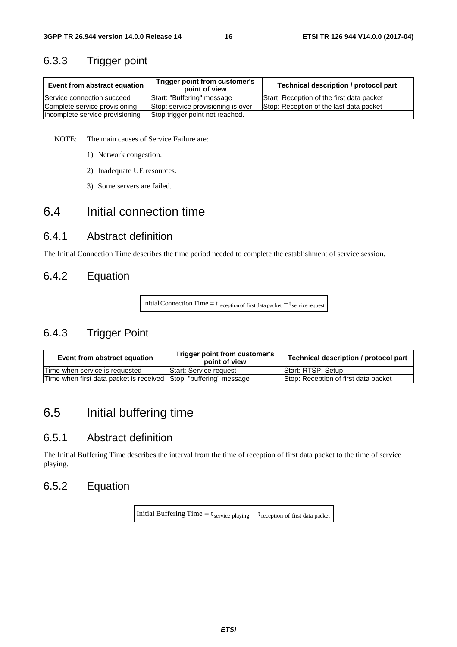### 6.3.3 Trigger point

| Trigger point from customer's<br>Event from abstract equation<br>point of view |                                    | Technical description / protocol part     |
|--------------------------------------------------------------------------------|------------------------------------|-------------------------------------------|
| Service connection succeed                                                     | Start: "Buffering" message         | Start: Reception of the first data packet |
| Complete service provisioning                                                  | Stop: service provisioning is over | Stop: Reception of the last data packet   |
| incomplete service provisioning                                                | Stop trigger point not reached.    |                                           |

NOTE: The main causes of Service Failure are:

- 1) Network congestion.
- 2) Inadequate UE resources.
- 3) Some servers are failed.

## 6.4 Initial connection time

### 6.4.1 Abstract definition

The Initial Connection Time describes the time period needed to complete the establishment of service session.

### 6.4.2 Equation

Initial Connection Time =  $t_{\text{reception of first data packet}} - t_{\text{service request}}$ 

## 6.4.3 Trigger Point

| Event from abstract equation            | Trigger point from customer's<br>point of view | Technical description / protocol part |
|-----------------------------------------|------------------------------------------------|---------------------------------------|
| Time when service is requested          | Start: Service request                         | <b>Start: RTSP: Setup</b>             |
| Time when first data packet is received | Stop: "buffering" message                      | Stop: Reception of first data packet  |

## 6.5 Initial buffering time

### 6.5.1 Abstract definition

The Initial Buffering Time describes the interval from the time of reception of first data packet to the time of service playing.

### 6.5.2 Equation

Initial Buffering Time =  $t_{\text{service playing}} - t_{\text{reception of first data packet}}$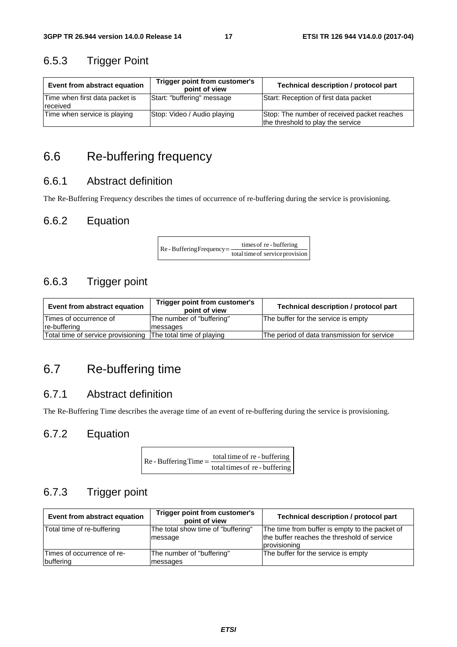## 6.5.3 Trigger Point

| Event from abstract equation               | Trigger point from customer's<br>point of view | <b>Technical description / protocol part</b>                                     |
|--------------------------------------------|------------------------------------------------|----------------------------------------------------------------------------------|
| Time when first data packet is<br>received | Start: "buffering" message                     | Start: Reception of first data packet                                            |
| Time when service is playing               | Stop: Video / Audio playing                    | Stop: The number of received packet reaches<br>the threshold to play the service |

## 6.6 Re-buffering frequency

### 6.6.1 Abstract definition

The Re-Buffering Frequency describes the times of occurrence of re-buffering during the service is provisioning.

### 6.6.2 Equation

 $\text{Re}$  - Buffering Frequency =  $\frac{\text{times of re} \cdot \text{buffering}}{\text{total time of service provision}}$ 

### 6.6.3 Trigger point

| Trigger point from customer's<br>Event from abstract equation<br>point of view |                           | Technical description / protocol part       |
|--------------------------------------------------------------------------------|---------------------------|---------------------------------------------|
| Times of occurrence of                                                         | The number of "buffering" | The buffer for the service is empty         |
| re-buffering                                                                   | messages                  |                                             |
| Total time of service provisioning The total time of playing                   |                           | The period of data transmission for service |

## 6.7 Re-buffering time

### 6.7.1 Abstract definition

The Re-Buffering Time describes the average time of an event of re-buffering during the service is provisioning.

### 6.7.2 Equation

| $Re$ - Buffering Time $=$ $\frac{\text{total time of } P}{\text{total time of } P}$ | total time of re - buffering  |
|-------------------------------------------------------------------------------------|-------------------------------|
|                                                                                     | total times of re - buffering |

### 6.7.3 Trigger point

| Event from abstract equation             | Trigger point from customer's<br>point of view | Technical description / protocol part                                                                         |
|------------------------------------------|------------------------------------------------|---------------------------------------------------------------------------------------------------------------|
| Total time of re-buffering               | The total show time of "buffering"<br>message  | The time from buffer is empty to the packet of<br>the buffer reaches the threshold of service<br>provisioning |
| lTimes of occurrence of re-<br>buffering | The number of "buffering"<br>messages          | The buffer for the service is empty                                                                           |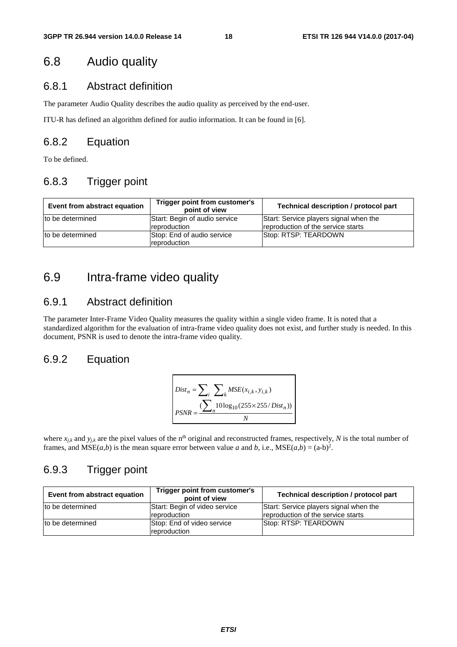## 6.8 Audio quality

### 6.8.1 Abstract definition

The parameter Audio Quality describes the audio quality as perceived by the end-user.

ITU-R has defined an algorithm defined for audio information. It can be found in [6].

### 6.8.2 Equation

To be defined.

### 6.8.3 Trigger point

| Event from abstract equation | Trigger point from customer's<br>point of view | <b>Technical description / protocol part</b>                                 |
|------------------------------|------------------------------------------------|------------------------------------------------------------------------------|
| to be determined             | Start: Begin of audio service<br>reproduction  | Start: Service players signal when the<br>reproduction of the service starts |
| to be determined             | Stop: End of audio service<br>reproduction     | Stop: RTSP: TEARDOWN                                                         |

## 6.9 Intra-frame video quality

### 6.9.1 Abstract definition

The parameter Inter-Frame Video Quality measures the quality within a single video frame. It is noted that a standardized algorithm for the evaluation of intra-frame video quality does not exist, and further study is needed. In this document, PSNR is used to denote the intra-frame video quality.

### 6.9.2 Equation

$$
Dist_n = \sum_{i} \sum_{k} MSE(x_{i,k}, y_{i,k})
$$
  
PSNR = 
$$
\frac{\sum_{i} 10 \log_{10}(255 \times 255/Dist_n))}{N}
$$

where  $x_{j,k}$  and  $y_{j,k}$  are the pixel values of the n<sup>th</sup> original and reconstructed frames, respectively, *N* is the total number of frames, and  $MSE(a,b)$  is the mean square error between value *a* and *b*, i.e.,  $MSE(a,b) = (a-b)^2$ .

### 6.9.3 Trigger point

| Event from abstract equation | Trigger point from customer's<br>point of view | Technical description / protocol part                                        |
|------------------------------|------------------------------------------------|------------------------------------------------------------------------------|
| to be determined             | Start: Begin of video service<br>reproduction  | Start: Service players signal when the<br>reproduction of the service starts |
| to be determined             | Stop: End of video service<br>reproduction     | Stop: RTSP: TEARDOWN                                                         |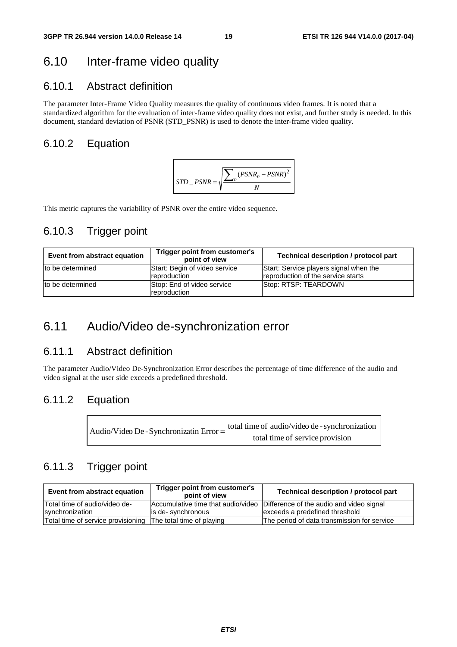## 6.10 Inter-frame video quality

### 6.10.1 Abstract definition

The parameter Inter-Frame Video Quality measures the quality of continuous video frames. It is noted that a standardized algorithm for the evaluation of inter-frame video quality does not exist, and further study is needed. In this document, standard deviation of PSNR (STD\_PSNR) is used to denote the inter-frame video quality.

### 6.10.2 Equation



This metric captures the variability of PSNR over the entire video sequence.

### 6.10.3 Trigger point

| Event from abstract equation | Trigger point from customer's<br>point of view | Technical description / protocol part                                        |
|------------------------------|------------------------------------------------|------------------------------------------------------------------------------|
| to be determined             | Start: Begin of video service<br>reproduction  | Start: Service players signal when the<br>reproduction of the service starts |
| to be determined             | Stop: End of video service<br>reproduction     | Stop: RTSP: TEARDOWN                                                         |

## 6.11 Audio/Video de-synchronization error

## 6.11.1 Abstract definition

The parameter Audio/Video De-Synchronization Error describes the percentage of time difference of the audio and video signal at the user side exceeds a predefined threshold.

### 6.11.2 Equation

| Audio/Video De - Synchronizatin Error $=$ $\frac{100}{100}$ | total time of audio/video de - synchronization |  |  |  |
|-------------------------------------------------------------|------------------------------------------------|--|--|--|
|                                                             | total time of service provision                |  |  |  |

### 6.11.3 Trigger point

| Event from abstract equation                                 | Trigger point from customer's<br>point of view | Technical description / protocol part                                       |
|--------------------------------------------------------------|------------------------------------------------|-----------------------------------------------------------------------------|
| Total time of audio/video de-                                |                                                | Accumulative time that audio/video Difference of the audio and video signal |
| synchronization                                              | lis de-synchronous                             | exceeds a predefined threshold                                              |
| Total time of service provisioning The total time of playing |                                                | The period of data transmission for service                                 |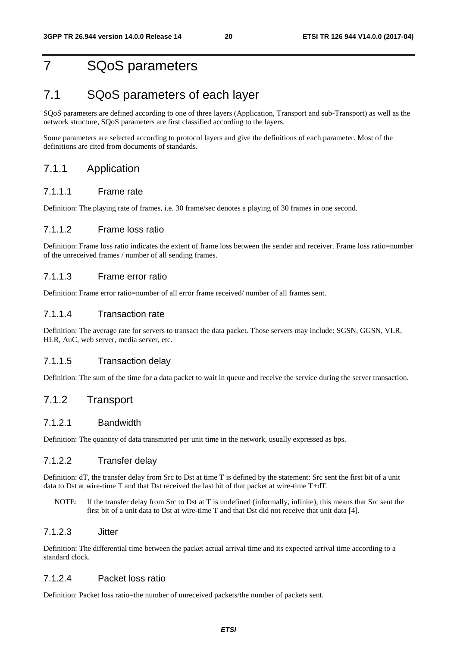## 7 SQoS parameters

## 7.1 SQoS parameters of each layer

SQoS parameters are defined according to one of three layers (Application, Transport and sub-Transport) as well as the network structure, SQoS parameters are first classified according to the layers.

Some parameters are selected according to protocol layers and give the definitions of each parameter. Most of the definitions are cited from documents of standards.

### 7.1.1 Application

#### 7.1.1.1 Frame rate

Definition: The playing rate of frames, i.e. 30 frame/sec denotes a playing of 30 frames in one second.

#### 7.1.1.2 Frame loss ratio

Definition: Frame loss ratio indicates the extent of frame loss between the sender and receiver. Frame loss ratio=number of the unreceived frames / number of all sending frames.

#### 7.1.1.3 Frame error ratio

Definition: Frame error ratio=number of all error frame received/ number of all frames sent.

#### 7.1.1.4 Transaction rate

Definition: The average rate for servers to transact the data packet. Those servers may include: SGSN, GGSN, VLR, HLR, AuC, web server, media server, etc.

#### 7.1.1.5 Transaction delay

Definition: The sum of the time for a data packet to wait in queue and receive the service during the server transaction.

### 7.1.2 Transport

#### 7.1.2.1 Bandwidth

Definition: The quantity of data transmitted per unit time in the network, usually expressed as bps.

#### 7.1.2.2 Transfer delay

Definition: dT, the transfer delay from Src to Dst at time T is defined by the statement: Src sent the first bit of a unit data to Dst at wire-time T and that Dst received the last bit of that packet at wire-time T+dT.

NOTE: If the transfer delay from Src to Dst at T is undefined (informally, infinite), this means that Src sent the first bit of a unit data to Dst at wire-time T and that Dst did not receive that unit data [4].

#### 7.1.2.3 Jitter

Definition: The differential time between the packet actual arrival time and its expected arrival time according to a standard clock.

#### 7.1.2.4 Packet loss ratio

Definition: Packet loss ratio=the number of unreceived packets/the number of packets sent.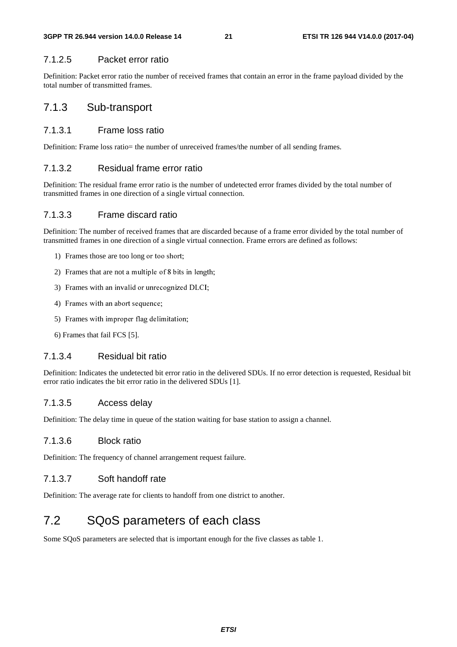#### 7.1.2.5 Packet error ratio

Definition: Packet error ratio the number of received frames that contain an error in the frame payload divided by the total number of transmitted frames.

### 7.1.3 Sub-transport

#### 7.1.3.1 Frame loss ratio

Definition: Frame loss ratio= the number of unreceived frames/the number of all sending frames.

### 7.1.3.2 Residual frame error ratio

Definition: The residual frame error ratio is the number of undetected error frames divided by the total number of transmitted frames in one direction of a single virtual connection.

#### 7.1.3.3 Frame discard ratio

Definition: The number of received frames that are discarded because of a frame error divided by the total number of transmitted frames in one direction of a single virtual connection. Frame errors are defined as follows:

- 1) Frames those are too long
- 2) Frames that are not a multiple of 8 bits in length;
- 3) Frames with an invalid or unrecognized DLCI;
- 4) Frames with an abort sequence;
- 5) Frames with improper flag delimitation;
- 6) Frames that fail FCS [5].

#### 7.1.3.4 Residual bit ratio

iple of 8 bits<br>unrecognize<br>ence;<br>delimitation<br>ratio<br>ratio<br>d bit error r<br>atio in the de<br>y<br>nnel arranger<br>f rate<br>lients to han<br>**meters**<br>ed that is im<br>ed that is im<br>ed that is im<br>ed that is shown a management of 8 bits in a management<br>and or unrecognized DLCI;<br>the sequence;<br>the sequence;<br>and bit ratio<br>is in the delivered SI<br>is delay<br>in queue of the station waiting<br>atio<br>of channel arrangement reque<br>and off rate<br>e fo an abort sequence;<br>
improper flag delimitation;<br>
iil FCS [5].<br>
esidual bit ratio<br>
sthe undetected bit error ratio in the<br>
the bit error ratio in the delivered<br>
ccess delay<br>
y time in queue of the station wait<br>
lock ratio<br> Frames with improper flag delin<br>Frames that fail FCS [5].<br>4 Residual bit ratio<br>ion: Indicates the undetected bit<br>itio indicates the bit error ratio i<br>5 Access delay<br>ion: The delay time in queue of<br>6 Block ratio<br>ion: The fr what differently the different and the set of the set of the undetected bit error rates the bit error ratio in the delicates the bit error ratio in the delicates delay the in queue of the stational delay time in queue of t Definition: Indicates the undetected bit error ratio in the delivered SDUs. If no error detection is requested, Residual bit error ratio indicates the bit error ratio in the delivered SDUs [1].

#### 7.1.3.5 Access delay

Definition: The delay time in queue of the station waiting for base station to assign a channel.

#### 7.1.3.6 Block ratio

Definition: The frequency of channel arrangement request failure.

### 7.1.3.7 Soft handoff rate

Definition: The average rate for clients to handoff from one district to another.

## 7.2 SQoS parameters of each class

Some SQoS parameters are selected that is important enough for the five classes as table 1.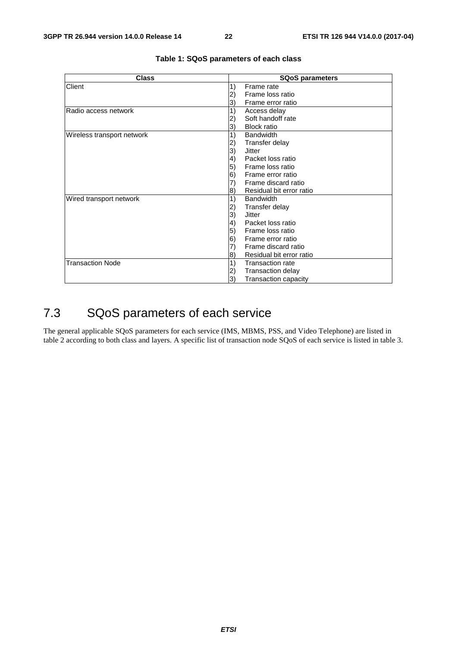| <b>Class</b>               | <b>SQoS parameters</b>                 |  |  |  |
|----------------------------|----------------------------------------|--|--|--|
| Client                     | 1)<br>Frame rate                       |  |  |  |
|                            | Frame loss ratio<br>2)                 |  |  |  |
|                            | Frame error ratio<br>3)                |  |  |  |
| lRadio access network      | 1)<br>Access delay                     |  |  |  |
|                            | Soft handoff rate<br>2)                |  |  |  |
|                            | <b>Block ratio</b><br>3)               |  |  |  |
| Wireless transport network | 1)<br><b>Bandwidth</b>                 |  |  |  |
|                            | Transfer delay<br>2)                   |  |  |  |
|                            | 3)<br>Jitter                           |  |  |  |
|                            | Packet loss ratio<br>$\vert 4)$        |  |  |  |
|                            | 5)<br>Frame loss ratio                 |  |  |  |
|                            | 6)<br>Frame error ratio                |  |  |  |
|                            | Frame discard ratio<br>7)              |  |  |  |
|                            | Residual bit error ratio<br>8)         |  |  |  |
| Wired transport network    | 1)<br><b>Bandwidth</b>                 |  |  |  |
|                            | Transfer delay<br>2)                   |  |  |  |
|                            | 3)<br>Jitter                           |  |  |  |
|                            | $\left( 4\right)$<br>Packet loss ratio |  |  |  |
|                            | Frame loss ratio<br>5)                 |  |  |  |
|                            | 6)<br>Frame error ratio                |  |  |  |
|                            | Frame discard ratio<br>7)              |  |  |  |
|                            | Residual bit error ratio<br>8)         |  |  |  |
| <b>Transaction Node</b>    | 1)<br><b>Transaction rate</b>          |  |  |  |
|                            | Transaction delay<br>2)                |  |  |  |
|                            | 3)<br>Transaction capacity             |  |  |  |

#### **Table 1: SQoS parameters of each class**

## 7.3 SQoS parameters of each service

The general applicable SQoS parameters for each service (IMS, MBMS, PSS, and Video Telephone) are listed in table 2 according to both class and layers. A specific list of transaction node SQoS of each service is listed in table 3.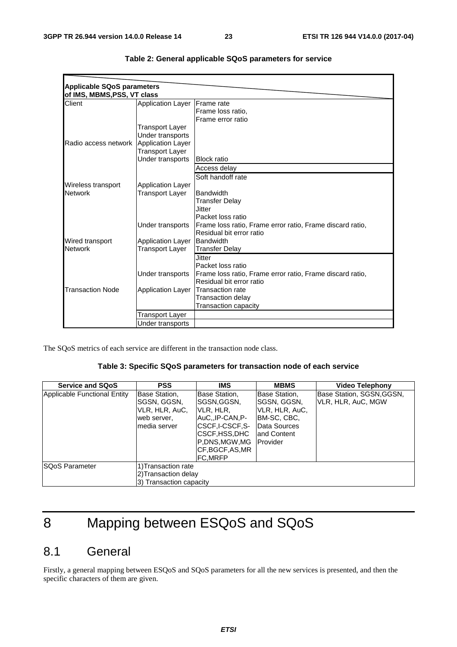| <b>Applicable SQoS parameters</b> |                          |                                                           |
|-----------------------------------|--------------------------|-----------------------------------------------------------|
| of IMS, MBMS, PSS, VT class       |                          |                                                           |
| Client                            | <b>Application Layer</b> | <b>IFrame</b> rate                                        |
|                                   |                          | Frame loss ratio,                                         |
|                                   |                          | Frame error ratio                                         |
|                                   | Transport Layer          |                                                           |
|                                   | Under transports         |                                                           |
| Radio access network              | Application Layer        |                                                           |
|                                   | <b>Transport Layer</b>   |                                                           |
|                                   | Under transports         | <b>Block ratio</b>                                        |
|                                   |                          | Access delay                                              |
|                                   |                          | Soft handoff rate                                         |
| Wireless transport                | <b>Application Layer</b> |                                                           |
| <b>Network</b>                    | Transport Layer          | Bandwidth                                                 |
|                                   |                          | <b>Transfer Delay</b>                                     |
|                                   |                          | .Jitter                                                   |
|                                   |                          | Packet loss ratio                                         |
|                                   | Under transports         | Frame loss ratio, Frame error ratio, Frame discard ratio, |
|                                   |                          | Residual bit error ratio                                  |
| Wired transport                   | <b>Application Layer</b> | Bandwidth                                                 |
| <b>Network</b>                    | Transport Layer          | <b>Transfer Delay</b>                                     |
|                                   |                          | <b>Jitter</b>                                             |
|                                   |                          | Packet loss ratio                                         |
|                                   | Under transports         | Frame loss ratio, Frame error ratio, Frame discard ratio, |
|                                   |                          | Residual bit error ratio                                  |
| <b>Transaction Node</b>           | <b>Application Layer</b> | <b>Transaction rate</b>                                   |
|                                   |                          | <b>Transaction delay</b>                                  |
|                                   |                          | Transaction capacity                                      |
|                                   | Transport Layer          |                                                           |
|                                   | Under transports         |                                                           |

|  |  | Table 2: General applicable SQoS parameters for service |  |
|--|--|---------------------------------------------------------|--|
|--|--|---------------------------------------------------------|--|

The SQoS metrics of each service are different in the transaction node class.

#### **Table 3: Specific SQoS parameters for transaction node of each service**

| <b>Service and SQoS</b>      | <b>PSS</b>                                                                     | <b>IMS</b>                                                                                                                                           | <b>MBMS</b>                                                                                                        | <b>Video Telephony</b>                          |
|------------------------------|--------------------------------------------------------------------------------|------------------------------------------------------------------------------------------------------------------------------------------------------|--------------------------------------------------------------------------------------------------------------------|-------------------------------------------------|
| Applicable Functional Entity | Base Station,<br>SGSN, GGSN,<br>VLR, HLR, AuC,<br>web server,<br>lmedia server | Base Station,<br>SGSN, GGSN,<br>IVLR, HLR,<br>IAuCIP-CAN.P-<br> CSCF.I-CSCF.S-<br>ICSCF,HSS,DHC<br>IP.DNS.MGW.MG<br>ICF.BGCF.AS.MR<br><b>FC.MRFP</b> | Base Station,<br>SGSN, GGSN,<br>VLR, HLR, AuC,<br>IBM-SC, CBC,<br>Data Sources<br>land Content<br><b>IProvider</b> | Base Station, SGSN, GGSN,<br>VLR, HLR, AuC, MGW |
| <b>SQoS Parameter</b>        | 1) Transaction rate<br>2)Transaction delay<br>3) Transaction capacity          |                                                                                                                                                      |                                                                                                                    |                                                 |

# 8 Mapping between ESQoS and SQoS

## 8.1 General

Firstly, a general mapping between ESQoS and SQoS parameters for all the new services is presented, and then the specific characters of them are given.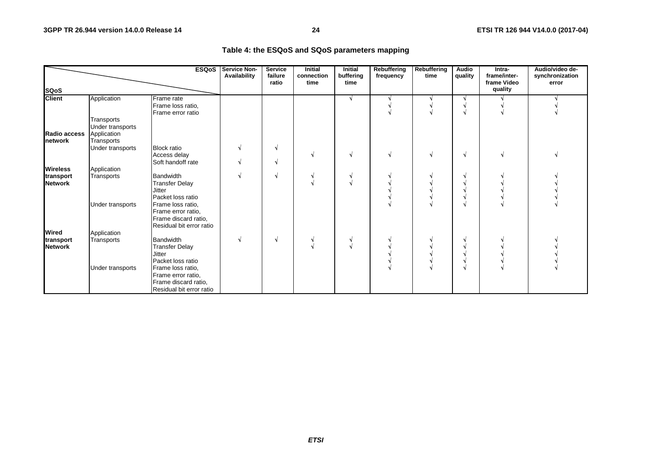| Table 4: the ESQoS and SQoS parameters mapping |  |  |  |  |  |
|------------------------------------------------|--|--|--|--|--|
|------------------------------------------------|--|--|--|--|--|

|                                 |                                                             | <b>ESQoS</b>                                                                                | <b>Service Non-</b><br>Availability | <b>Service</b><br>failure<br>ratio | <b>Initial</b><br>connection<br>time | <b>Initial</b><br>buffering<br>time | <b>Rebuffering</b><br>frequency | Rebuffering<br>time | Audio<br>quality | Intra-<br>frame/inter-<br>frame Video | Audio/video de-<br>synchronization<br>error |
|---------------------------------|-------------------------------------------------------------|---------------------------------------------------------------------------------------------|-------------------------------------|------------------------------------|--------------------------------------|-------------------------------------|---------------------------------|---------------------|------------------|---------------------------------------|---------------------------------------------|
| <b>SQoS</b>                     |                                                             |                                                                                             |                                     |                                    |                                      |                                     |                                 |                     |                  | quality                               |                                             |
| <b>Client</b>                   | Application                                                 | Frame rate<br>Frame loss ratio,<br>Frame error ratio                                        |                                     |                                    |                                      | V                                   |                                 |                     |                  |                                       |                                             |
| Radio access<br><b>Inetwork</b> | Transports<br>Under transports<br>Application<br>Transports |                                                                                             |                                     |                                    |                                      |                                     |                                 |                     |                  |                                       |                                             |
|                                 | Under transports                                            | <b>Block ratio</b><br>Access delay<br>Soft handoff rate                                     |                                     | V<br>N.                            |                                      |                                     |                                 |                     |                  |                                       |                                             |
| <b>Wireless</b>                 | Application                                                 |                                                                                             |                                     |                                    |                                      |                                     |                                 |                     |                  |                                       |                                             |
| transport<br><b>Network</b>     | Transports                                                  | Bandwidth<br><b>Transfer Delay</b><br><b>Jitter</b><br>Packet loss ratio                    |                                     | N.                                 |                                      |                                     |                                 |                     |                  |                                       |                                             |
|                                 | Under transports                                            | Frame loss ratio,<br>Frame error ratio,<br>Frame discard ratio,<br>Residual bit error ratio |                                     |                                    |                                      |                                     |                                 |                     |                  |                                       |                                             |
| Wired                           | Application                                                 |                                                                                             |                                     |                                    |                                      |                                     |                                 |                     |                  |                                       |                                             |
| transport<br><b>Network</b>     | Transports                                                  | Bandwidth<br><b>Transfer Delay</b><br><b>Jitter</b><br>Packet loss ratio                    |                                     | N.                                 |                                      |                                     |                                 |                     |                  |                                       |                                             |
|                                 | Under transports                                            | Frame loss ratio,<br>Frame error ratio,<br>Frame discard ratio,<br>Residual bit error ratio |                                     |                                    |                                      |                                     |                                 |                     |                  |                                       |                                             |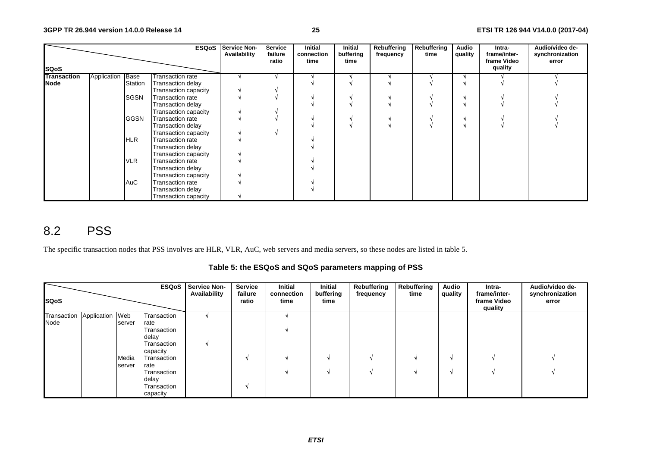|                    |             |                | <b>ESQoS</b>            | <b>Service Non-</b><br>Availability | Service<br>failure<br>ratio | Initial<br>connection<br>time | Initial<br>buffering<br>time | Rebuffering<br>frequency | Rebuffering<br>time | Audio<br>quality | Intra-<br>frame/inter-<br>frame Video<br>quality | Audio/video de-<br>synchronization<br>error |
|--------------------|-------------|----------------|-------------------------|-------------------------------------|-----------------------------|-------------------------------|------------------------------|--------------------------|---------------------|------------------|--------------------------------------------------|---------------------------------------------|
| <b>SQoS</b>        |             |                |                         |                                     |                             |                               |                              |                          |                     |                  |                                                  |                                             |
| <b>Transaction</b> | Application | Base           | Transaction rate        |                                     |                             |                               |                              |                          |                     |                  |                                                  |                                             |
| <b>Node</b>        |             | <b>Station</b> | Transaction delay       |                                     |                             |                               |                              |                          |                     |                  |                                                  |                                             |
|                    |             |                | Transaction capacity    |                                     |                             |                               |                              |                          |                     |                  |                                                  |                                             |
|                    |             | <b>SGSN</b>    | <b>Transaction rate</b> |                                     |                             |                               |                              |                          |                     |                  |                                                  |                                             |
|                    |             |                | Transaction delay       |                                     |                             |                               |                              |                          |                     |                  |                                                  |                                             |
|                    |             |                | Transaction capacity    |                                     |                             |                               |                              |                          |                     |                  |                                                  |                                             |
|                    |             | <b>GGSN</b>    | <b>Transaction rate</b> |                                     |                             |                               |                              |                          |                     |                  |                                                  |                                             |
|                    |             |                | Transaction delay       |                                     |                             |                               |                              |                          |                     |                  |                                                  |                                             |
|                    |             |                | Transaction capacity    |                                     |                             |                               |                              |                          |                     |                  |                                                  |                                             |
|                    |             | HLR            | Transaction rate        |                                     |                             |                               |                              |                          |                     |                  |                                                  |                                             |
|                    |             |                | Transaction delay       |                                     |                             |                               |                              |                          |                     |                  |                                                  |                                             |
|                    |             |                | Transaction capacity    |                                     |                             |                               |                              |                          |                     |                  |                                                  |                                             |
|                    |             | <b>VLR</b>     | Transaction rate        |                                     |                             |                               |                              |                          |                     |                  |                                                  |                                             |
|                    |             |                | Transaction delay       |                                     |                             |                               |                              |                          |                     |                  |                                                  |                                             |
|                    |             |                | Transaction capacity    |                                     |                             |                               |                              |                          |                     |                  |                                                  |                                             |
|                    |             | AuC            | Transaction rate        |                                     |                             |                               |                              |                          |                     |                  |                                                  |                                             |
|                    |             |                | Transaction delay       |                                     |                             |                               |                              |                          |                     |                  |                                                  |                                             |
|                    |             |                | Transaction capacity    |                                     |                             |                               |                              |                          |                     |                  |                                                  |                                             |

## 8.2 PSS

The specific transaction nodes that PSS involves are HLR, VLR, AuC, web servers and media servers, so these nodes are listed in table 5.

**Table 5: the ESQoS and SQoS parameters mapping of PSS** 

| <b>SQoS</b>                            |                           |                                                                                                                                                  | <b>ESQoS</b>   Service Non-<br>Availability | <b>Service</b><br>failure<br>ratio | Initial<br>connection<br>time | Initial<br>buffering<br>time | Rebuffering<br>frequency | Rebuffering<br>time | <b>Audio</b><br>quality | Intra-<br>frame/inter-<br>frame Video<br>quality | Audio/video de-<br>synchronization<br>error |
|----------------------------------------|---------------------------|--------------------------------------------------------------------------------------------------------------------------------------------------|---------------------------------------------|------------------------------------|-------------------------------|------------------------------|--------------------------|---------------------|-------------------------|--------------------------------------------------|---------------------------------------------|
| Transaction<br>Application Web<br>Node | server<br>Media<br>server | Transaction<br>rate<br>Transaction<br>delay<br>Transaction<br>capacity<br>Transaction<br>rate<br>Transaction<br>delay<br>Transaction<br>capacity |                                             |                                    |                               |                              |                          |                     |                         |                                                  |                                             |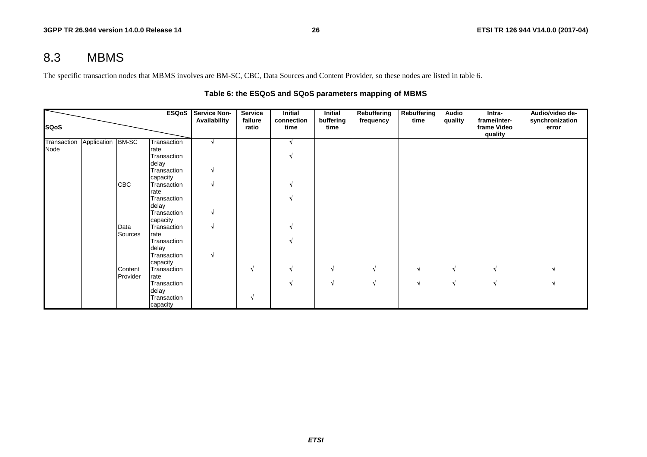## 8.3 MBMS

The specific transaction nodes that MBMS involves are BM-SC, CBC, Data Sources and Content Provider, so these nodes are listed in table 6.

|             |                   |            | <b>ESQoS</b>            | <b>Service Non-</b> | <b>Service</b>   | <b>Initial</b>     | Initial           | Rebuffering | Rebuffering | <b>Audio</b> | Intra-                                 | Audio/video de-          |
|-------------|-------------------|------------|-------------------------|---------------------|------------------|--------------------|-------------------|-------------|-------------|--------------|----------------------------------------|--------------------------|
| <b>SQoS</b> |                   |            |                         |                     | failure<br>ratio | connection<br>time | buffering<br>time | frequency   | time        | quality      | frame/inter-<br>frame Video<br>quality | synchronization<br>error |
| Transaction | Application BM-SC |            | Transaction             |                     |                  |                    |                   |             |             |              |                                        |                          |
| Node        |                   |            | rate                    |                     |                  |                    |                   |             |             |              |                                        |                          |
|             |                   |            | Transaction             |                     |                  |                    |                   |             |             |              |                                        |                          |
|             |                   |            | delay                   |                     |                  |                    |                   |             |             |              |                                        |                          |
|             |                   |            | Transaction             | N                   |                  |                    |                   |             |             |              |                                        |                          |
|             |                   |            | capacity                |                     |                  |                    |                   |             |             |              |                                        |                          |
|             |                   | <b>CBC</b> | Transaction             | N                   |                  |                    |                   |             |             |              |                                        |                          |
|             |                   |            | rate                    |                     |                  |                    |                   |             |             |              |                                        |                          |
|             |                   |            | Transaction             |                     |                  |                    |                   |             |             |              |                                        |                          |
|             |                   |            | delay                   |                     |                  |                    |                   |             |             |              |                                        |                          |
|             |                   |            | Transaction             | V                   |                  |                    |                   |             |             |              |                                        |                          |
|             |                   |            | capacity                |                     |                  |                    |                   |             |             |              |                                        |                          |
|             |                   | Data       | Transaction             | N                   |                  |                    |                   |             |             |              |                                        |                          |
|             |                   | Sources    | rate                    |                     |                  |                    |                   |             |             |              |                                        |                          |
|             |                   |            | Transaction             |                     |                  |                    |                   |             |             |              |                                        |                          |
|             |                   |            | delay                   | V                   |                  |                    |                   |             |             |              |                                        |                          |
|             |                   |            | Transaction             |                     |                  |                    |                   |             |             |              |                                        |                          |
|             |                   | Content    | capacity<br>Transaction |                     | N                |                    |                   |             | N           | N.           |                                        |                          |
|             |                   | Provider   | rate                    |                     |                  |                    |                   |             |             |              |                                        |                          |
|             |                   |            | Transaction             |                     |                  |                    | N                 |             |             | N            |                                        |                          |
|             |                   |            | delay                   |                     |                  |                    |                   |             |             |              |                                        |                          |
|             |                   |            | Transaction             |                     |                  |                    |                   |             |             |              |                                        |                          |
|             |                   |            | capacity                |                     |                  |                    |                   |             |             |              |                                        |                          |

#### **Table 6: the ESQoS and SQoS parameters mapping of MBMS**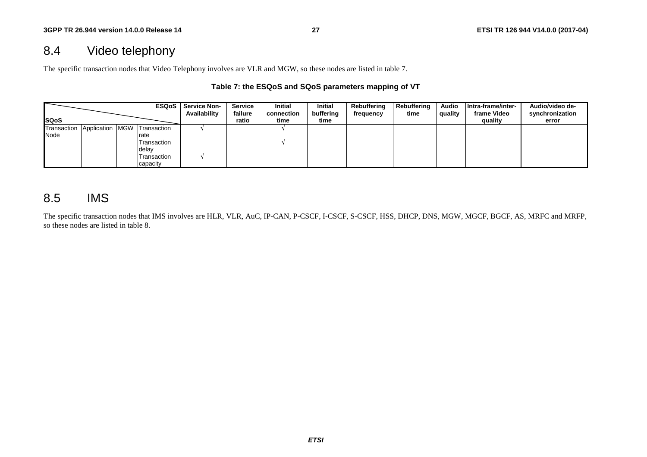## 8.4 Video telephony

The specific transaction nodes that Video Telephony involves are VLR and MGW, so these nodes are listed in table 7.

#### **Table 7: the ESQoS and SQoS parameters mapping of VT**

|                                         |  |             | <b>ESQoS</b>   Service Non-<br><b>Availability</b> | <b>Service</b><br>failure | Initial<br>connection | <b>Initial</b><br>buffering | Rebuffering<br>frequency | Rebuffering<br>time | <b>Audio</b><br>quality | Intra-frame/inter-<br>frame Video | Audio/video de-<br>synchronization |
|-----------------------------------------|--|-------------|----------------------------------------------------|---------------------------|-----------------------|-----------------------------|--------------------------|---------------------|-------------------------|-----------------------------------|------------------------------------|
| <b>ISQoS</b>                            |  |             |                                                    | ratio                     | time                  | time                        |                          |                     |                         | quality                           | error                              |
| Transaction Application MGW Transaction |  |             |                                                    |                           |                       |                             |                          |                     |                         |                                   |                                    |
| Node                                    |  | rate        |                                                    |                           |                       |                             |                          |                     |                         |                                   |                                    |
|                                         |  | Transaction |                                                    |                           |                       |                             |                          |                     |                         |                                   |                                    |
|                                         |  | delay       |                                                    |                           |                       |                             |                          |                     |                         |                                   |                                    |
|                                         |  | Transaction |                                                    |                           |                       |                             |                          |                     |                         |                                   |                                    |
|                                         |  | capacity    |                                                    |                           |                       |                             |                          |                     |                         |                                   |                                    |

## 8.5 IMS

The specific transaction nodes that IMS involves are HLR, VLR, AuC, IP-CAN, P-CSCF, I-CSCF, S-CSCF, HSS, DHCP, DNS, MGW, MGCF, BGCF, AS, MRFC and MRFP, so these nodes are listed in table 8.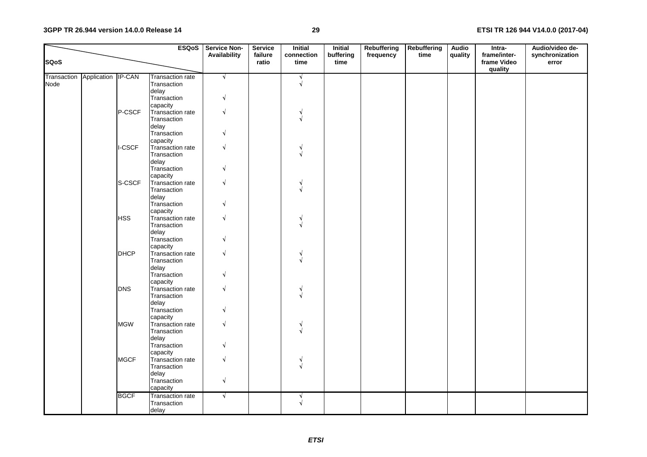#### **3GPP TR 26.944 version 14.0.0 Release 14**

#### **29 ETSI TR 126 944 V14.0.0 (2017-04)**

|             |                                |             | <b>ESQoS</b>            | <b>Service Non-</b><br>Availability | <b>Service</b><br>failure | <b>Initial</b><br>connection | <b>Initial</b><br>buffering | Rebuffering<br>frequency | <b>Rebuffering</b><br>time | <b>Audio</b><br>quality | Intra-<br>frame/inter- | Audio/video de-<br>synchronization |
|-------------|--------------------------------|-------------|-------------------------|-------------------------------------|---------------------------|------------------------------|-----------------------------|--------------------------|----------------------------|-------------------------|------------------------|------------------------------------|
| <b>SQoS</b> |                                |             |                         |                                     | ratio                     | time                         | time                        |                          |                            |                         | frame Video<br>quality | error                              |
|             | Transaction Application IP-CAN |             | <b>Transaction rate</b> | $\sqrt{ }$                          |                           | N                            |                             |                          |                            |                         |                        |                                    |
| Node        |                                |             | Transaction             |                                     |                           | $\sqrt{}$                    |                             |                          |                            |                         |                        |                                    |
|             |                                |             | delay                   |                                     |                           |                              |                             |                          |                            |                         |                        |                                    |
|             |                                |             | Transaction             | J                                   |                           |                              |                             |                          |                            |                         |                        |                                    |
|             |                                |             | capacity                |                                     |                           |                              |                             |                          |                            |                         |                        |                                    |
|             |                                | P-CSCF      | Transaction rate        |                                     |                           |                              |                             |                          |                            |                         |                        |                                    |
|             |                                |             | Transaction             |                                     |                           |                              |                             |                          |                            |                         |                        |                                    |
|             |                                |             | delay                   |                                     |                           |                              |                             |                          |                            |                         |                        |                                    |
|             |                                |             | Transaction             |                                     |                           |                              |                             |                          |                            |                         |                        |                                    |
|             |                                |             | capacity                |                                     |                           |                              |                             |                          |                            |                         |                        |                                    |
|             |                                | I-CSCF      | Transaction rate        |                                     |                           |                              |                             |                          |                            |                         |                        |                                    |
|             |                                |             | Transaction             |                                     |                           |                              |                             |                          |                            |                         |                        |                                    |
|             |                                |             | delay                   |                                     |                           |                              |                             |                          |                            |                         |                        |                                    |
|             |                                |             | Transaction             |                                     |                           |                              |                             |                          |                            |                         |                        |                                    |
|             |                                |             | capacity                |                                     |                           |                              |                             |                          |                            |                         |                        |                                    |
|             |                                | S-CSCF      | Transaction rate        |                                     |                           |                              |                             |                          |                            |                         |                        |                                    |
|             |                                |             | Transaction             |                                     |                           |                              |                             |                          |                            |                         |                        |                                    |
|             |                                |             | delay                   |                                     |                           |                              |                             |                          |                            |                         |                        |                                    |
|             |                                |             | Transaction             |                                     |                           |                              |                             |                          |                            |                         |                        |                                    |
|             |                                |             | capacity                |                                     |                           |                              |                             |                          |                            |                         |                        |                                    |
|             |                                | <b>HSS</b>  | Transaction rate        |                                     |                           |                              |                             |                          |                            |                         |                        |                                    |
|             |                                |             | Transaction             |                                     |                           |                              |                             |                          |                            |                         |                        |                                    |
|             |                                |             | delay<br>Transaction    |                                     |                           |                              |                             |                          |                            |                         |                        |                                    |
|             |                                |             | capacity                |                                     |                           |                              |                             |                          |                            |                         |                        |                                    |
|             |                                | <b>DHCP</b> | Transaction rate        |                                     |                           |                              |                             |                          |                            |                         |                        |                                    |
|             |                                |             | Transaction             |                                     |                           |                              |                             |                          |                            |                         |                        |                                    |
|             |                                |             | delay                   |                                     |                           |                              |                             |                          |                            |                         |                        |                                    |
|             |                                |             | Transaction             |                                     |                           |                              |                             |                          |                            |                         |                        |                                    |
|             |                                |             | capacity                |                                     |                           |                              |                             |                          |                            |                         |                        |                                    |
|             |                                | <b>DNS</b>  | Transaction rate        |                                     |                           |                              |                             |                          |                            |                         |                        |                                    |
|             |                                |             | Transaction             |                                     |                           |                              |                             |                          |                            |                         |                        |                                    |
|             |                                |             | delay                   |                                     |                           |                              |                             |                          |                            |                         |                        |                                    |
|             |                                |             | Transaction             |                                     |                           |                              |                             |                          |                            |                         |                        |                                    |
|             |                                |             | capacity                |                                     |                           |                              |                             |                          |                            |                         |                        |                                    |
|             |                                | <b>MGW</b>  | Transaction rate        |                                     |                           |                              |                             |                          |                            |                         |                        |                                    |
|             |                                |             | Transaction             |                                     |                           |                              |                             |                          |                            |                         |                        |                                    |
|             |                                |             | delay                   |                                     |                           |                              |                             |                          |                            |                         |                        |                                    |
|             |                                |             | Transaction             |                                     |                           |                              |                             |                          |                            |                         |                        |                                    |
|             |                                |             | capacity                |                                     |                           |                              |                             |                          |                            |                         |                        |                                    |
|             |                                | <b>MGCF</b> | Transaction rate        |                                     |                           | ٧                            |                             |                          |                            |                         |                        |                                    |
|             |                                |             | Transaction             |                                     |                           |                              |                             |                          |                            |                         |                        |                                    |
|             |                                |             | delay                   |                                     |                           |                              |                             |                          |                            |                         |                        |                                    |
|             |                                |             | Transaction             | $\sqrt{ }$                          |                           |                              |                             |                          |                            |                         |                        |                                    |
|             |                                |             | capacity                |                                     |                           |                              |                             |                          |                            |                         |                        |                                    |
|             |                                | <b>BGCF</b> | <b>Transaction rate</b> | $\sqrt{ }$                          |                           |                              |                             |                          |                            |                         |                        |                                    |
|             |                                |             | Transaction             |                                     |                           |                              |                             |                          |                            |                         |                        |                                    |
|             |                                |             | delay                   |                                     |                           |                              |                             |                          |                            |                         |                        |                                    |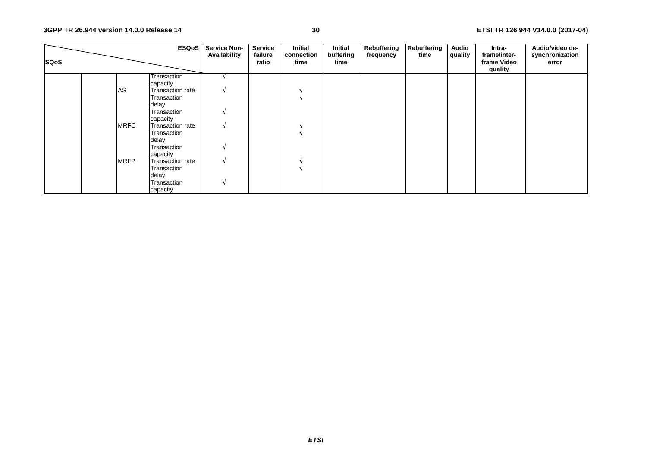| <b>SQoS</b> |             |                         | <b>ESQoS</b> Service Non-<br>Availability | <b>Service</b><br>failure<br>ratio | Initial<br>connection<br>time | Initial<br>buffering<br>time | Rebuffering<br>frequency | Rebuffering<br>time | <b>Audio</b><br>quality | Intra-<br>frame/inter-<br>frame Video<br>quality | Audio/video de-<br>synchronization<br>error |
|-------------|-------------|-------------------------|-------------------------------------------|------------------------------------|-------------------------------|------------------------------|--------------------------|---------------------|-------------------------|--------------------------------------------------|---------------------------------------------|
|             |             | Transaction             |                                           |                                    |                               |                              |                          |                     |                         |                                                  |                                             |
|             |             | capacity                |                                           |                                    |                               |                              |                          |                     |                         |                                                  |                                             |
|             | AS          | Transaction rate        |                                           |                                    |                               |                              |                          |                     |                         |                                                  |                                             |
|             |             | Transaction             |                                           |                                    |                               |                              |                          |                     |                         |                                                  |                                             |
|             |             | delay                   |                                           |                                    |                               |                              |                          |                     |                         |                                                  |                                             |
|             |             | Transaction             |                                           |                                    |                               |                              |                          |                     |                         |                                                  |                                             |
|             |             | capacity                |                                           |                                    |                               |                              |                          |                     |                         |                                                  |                                             |
|             | <b>MRFC</b> | Transaction rate        |                                           |                                    |                               |                              |                          |                     |                         |                                                  |                                             |
|             |             | Transaction             |                                           |                                    |                               |                              |                          |                     |                         |                                                  |                                             |
|             |             | delay                   |                                           |                                    |                               |                              |                          |                     |                         |                                                  |                                             |
|             |             | Transaction             |                                           |                                    |                               |                              |                          |                     |                         |                                                  |                                             |
|             |             | capacity                |                                           |                                    |                               |                              |                          |                     |                         |                                                  |                                             |
|             | <b>MRFP</b> | <b>Transaction rate</b> |                                           |                                    |                               |                              |                          |                     |                         |                                                  |                                             |
|             |             | Transaction             |                                           |                                    |                               |                              |                          |                     |                         |                                                  |                                             |
|             |             | delay                   |                                           |                                    |                               |                              |                          |                     |                         |                                                  |                                             |
|             |             | Transaction             |                                           |                                    |                               |                              |                          |                     |                         |                                                  |                                             |
|             |             | capacity                |                                           |                                    |                               |                              |                          |                     |                         |                                                  |                                             |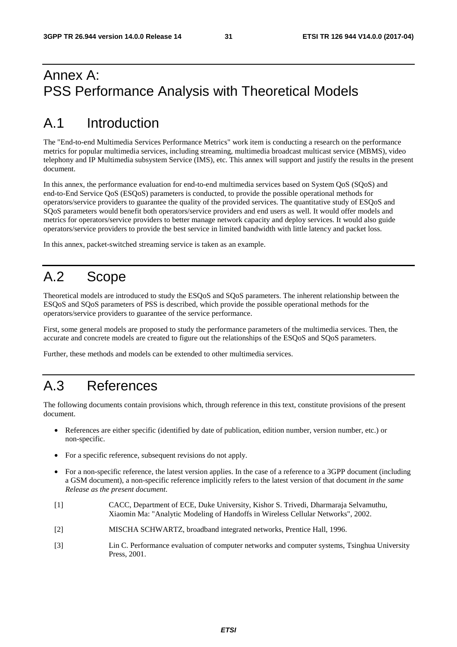## Annex A: PSS Performance Analysis with Theoretical Models

# A.1 Introduction

The "End-to-end Multimedia Services Performance Metrics" work item is conducting a research on the performance metrics for popular multimedia services, including streaming, multimedia broadcast multicast service (MBMS), video telephony and IP Multimedia subsystem Service (IMS), etc. This annex will support and justify the results in the present document.

In this annex, the performance evaluation for end-to-end multimedia services based on System QoS (SQoS) and end-to-End Service QoS (ESQoS) parameters is conducted, to provide the possible operational methods for operators/service providers to guarantee the quality of the provided services. The quantitative study of ESQoS and SQoS parameters would benefit both operators/service providers and end users as well. It would offer models and metrics for operators/service providers to better manage network capacity and deploy services. It would also guide operators/service providers to provide the best service in limited bandwidth with little latency and packet loss.

In this annex, packet-switched streaming service is taken as an example.

# A.2 Scope

Theoretical models are introduced to study the ESQoS and SQoS parameters. The inherent relationship between the ESQoS and SQoS parameters of PSS is described, which provide the possible operational methods for the operators/service providers to guarantee of the service performance.

First, some general models are proposed to study the performance parameters of the multimedia services. Then, the accurate and concrete models are created to figure out the relationships of the ESQoS and SQoS parameters.

Further, these methods and models can be extended to other multimedia services.

# A.3 References

The following documents contain provisions which, through reference in this text, constitute provisions of the present document.

- References are either specific (identified by date of publication, edition number, version number, etc.) or non-specific.
- For a specific reference, subsequent revisions do not apply.
- For a non-specific reference, the latest version applies. In the case of a reference to a 3GPP document (including a GSM document), a non-specific reference implicitly refers to the latest version of that document *in the same Release as the present document*.
- [1] CACC, Department of ECE, Duke University, Kishor S. Trivedi, Dharmaraja Selvamuthu, Xiaomin Ma: "Analytic Modeling of Handoffs in Wireless Cellular Networks", 2002.
- [2] MISCHA SCHWARTZ, broadband integrated networks, Prentice Hall, 1996.
- [3] Lin C. Performance evaluation of computer networks and computer systems, Tsinghua University Press, 2001.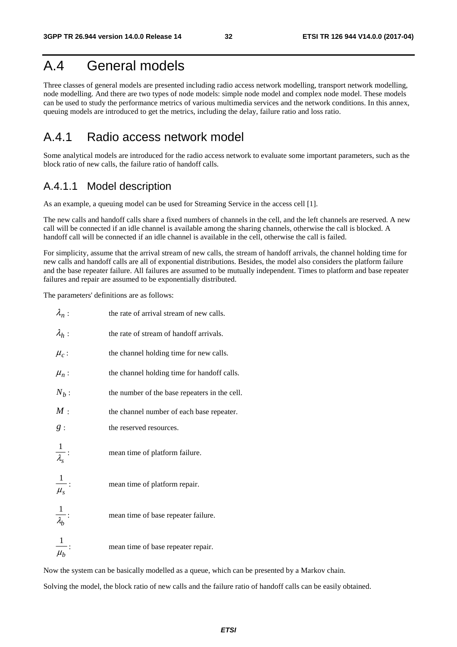## A.4 General models

Three classes of general models are presented including radio access network modelling, transport network modelling, node modelling. And there are two types of node models: simple node model and complex node model. These models can be used to study the performance metrics of various multimedia services and the network conditions. In this annex, queuing models are introduced to get the metrics, including the delay, failure ratio and loss ratio.

## A.4.1 Radio access network model

Some analytical models are introduced for the radio access network to evaluate some important parameters, such as the block ratio of new calls, the failure ratio of handoff calls.

### A.4.1.1 Model description

As an example, a queuing model can be used for Streaming Service in the access cell [1].

The new calls and handoff calls share a fixed numbers of channels in the cell, and the left channels are reserved. A new call will be connected if an idle channel is available among the sharing channels, otherwise the call is blocked. A handoff call will be connected if an idle channel is available in the cell, otherwise the call is failed.

For simplicity, assume that the arrival stream of new calls, the stream of handoff arrivals, the channel holding time for new calls and handoff calls are all of exponential distributions. Besides, the model also considers the platform failure and the base repeater failure. All failures are assumed to be mutually independent. Times to platform and base repeater failures and repair are assumed to be exponentially distributed.

The parameters' definitions are as follows:

| $\lambda_n$ :         | the rate of arrival stream of new calls.      |
|-----------------------|-----------------------------------------------|
| $\lambda_h$ :         | the rate of stream of handoff arrivals.       |
| $\mu_c$ :             | the channel holding time for new calls.       |
| $\mu_n$ :             | the channel holding time for handoff calls.   |
| $N_b$ :               | the number of the base repeaters in the cell. |
| M:                    | the channel number of each base repeater.     |
| g:                    | the reserved resources.                       |
| $\frac{1}{\lambda_s}$ | mean time of platform failure.                |
| $\frac{1}{\mu_s}$ :   | mean time of platform repair.                 |
| $\frac{1}{\lambda_b}$ | mean time of base repeater failure.           |
| $\overline{\mu_b}$    | mean time of base repeater repair.            |

Now the system can be basically modelled as a queue, which can be presented by a Markov chain.

Solving the model, the block ratio of new calls and the failure ratio of handoff calls can be easily obtained.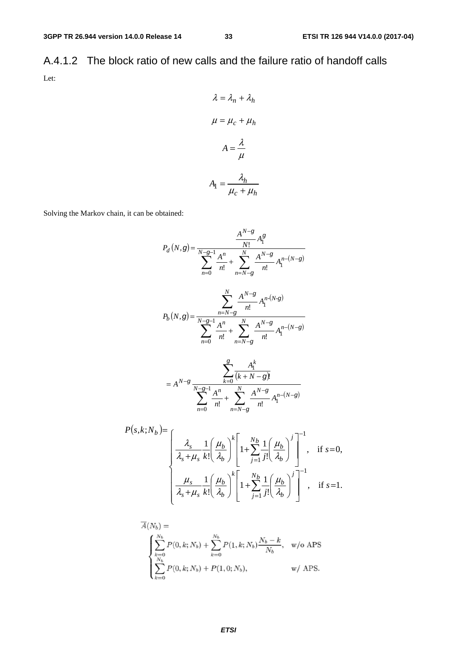A.4.1.2 The block ratio of new calls and the failure ratio of handoff calls Let:

$$
\lambda = \lambda_n + \lambda_h
$$

$$
\mu = \mu_c + \mu_h
$$

$$
A = \frac{\lambda}{\mu}
$$

$$
A_1 = \frac{\lambda_h}{\mu_c + \mu_h}
$$

Solving the Markov chain, it can be obtained:

$$
P_{d}(N,g) = \frac{A^{N-g}}{N!} A_{1}^{g}
$$
\n
$$
P_{b}(N,g) = \frac{1}{N-g-1} \frac{A^{n}}{n!} + \sum_{n=N-g}^{N} \frac{A^{N-g}}{n!} A_{1}^{n-(N-g)}
$$
\n
$$
P_{b}(N,g) = \frac{1}{N-g-1} \frac{A^{n}}{n!} + \sum_{n=N-g}^{N} \frac{A^{N-g}}{n!} A_{1}^{n-(N-g)}
$$
\n
$$
= A^{N-g} \frac{1}{N-g-1} \frac{A^{n}}{n!} + \sum_{n=N-g}^{N} \frac{A^{N-g}}{n!} A_{1}^{n-(N-g)}
$$
\n
$$
P(s,k;N_{b}) = \frac{1}{N_g+1} \sum_{n=N-g}^{N} \frac{A^{n}}{n!} A_{1}^{n} A_{1}^{n-(N-g)}
$$
\n
$$
P(s,k;N_{b}) = \frac{1}{N_g+1} \left(\frac{\mu_b}{\lambda_b}\right)^{k} \left[1 + \sum_{j=1}^{N_b} \frac{1}{j!} \left(\frac{\mu_b}{\lambda_b}\right)^j\right]^{-1}, \text{ if } s=0,
$$
\n
$$
\frac{\mu_s}{\lambda_s + \mu_s} \frac{1}{k!} \left(\frac{\mu_b}{\lambda_b}\right)^{k} \left[1 + \sum_{j=1}^{N_b} \frac{1}{j!} \left(\frac{\mu_b}{\lambda_b}\right)^j\right]^{-1}, \text{ if } s=1.
$$

$$
\overline{A}(N_b) = \begin{cases}\n\sum_{k=0}^{N_b} P(0, k; N_b) + \sum_{k=0}^{N_b} P(1, k; N_b) \frac{N_b - k}{N_b}, & \text{w/o APS} \\
\sum_{k=0}^{N_b} P(0, k; N_b) + P(1, 0; N_b), & \text{w/ APS.} \n\end{cases}
$$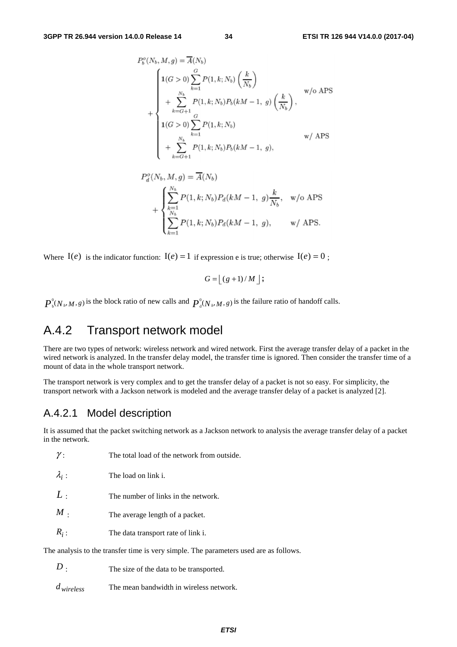$$
P_b^o(N_b, M, g) = \overline{A}(N_b)
$$
  
+ 
$$
\begin{cases} 1(G > 0) \sum_{k=1}^{G} P(1, k; N_b) \left(\frac{k}{N_b}\right) \\ + \sum_{k=G+1}^{N_b} P(1, k; N_b) P_b(kM - 1, g) \left(\frac{k}{N_b}\right), \\ 1(G > 0) \sum_{k=1}^{G} P(1, k; N_b) \\ + \sum_{k=G+1}^{N_b} P(1, k; N_b) P_b(kM - 1, g), \end{cases}
$$
 w/ APS

$$
P_d^o(N_b, M, g) = \overline{A}(N_b)
$$
  
+ 
$$
\begin{cases} \sum_{k=1}^{N_b} P(1, k; N_b) P_d(kM - 1, g) \frac{k}{N_b}, & \text{w/o APS} \\ \sum_{k=1}^{N_b} P(1, k; N_b) P_d(kM - 1, g), & \text{w/ APS.} \end{cases}
$$

Where  $I(e)$  is the indicator function:  $I(e) = 1$  if expression e is true; otherwise  $I(e) = 0$ ;

$$
G = \lfloor (g+1)/M \rfloor;
$$

 $\mathbf{0}$  $P_b^0(N_b, M, g)$  is the block ratio of new calls and  $P_a^0(N_b, M, g)$  is the failure ratio of handoff calls.

## A.4.2 Transport network model

There are two types of network: wireless network and wired network. First the average transfer delay of a packet in the wired network is analyzed. In the transfer delay model, the transfer time is ignored. Then consider the transfer time of a mount of data in the whole transport network.

The transport network is very complex and to get the transfer delay of a packet is not so easy. For simplicity, the transport network with a Jackson network is modeled and the average transfer delay of a packet is analyzed [2].

### A.4.2.1 Model description

It is assumed that the packet switching network as a Jackson network to analysis the average transfer delay of a packet in the network.

| . .                                                                                   | The total load of the network from outside. |  |  |  |  |  |
|---------------------------------------------------------------------------------------|---------------------------------------------|--|--|--|--|--|
| $\lambda_i$ :                                                                         | The load on link i.                         |  |  |  |  |  |
| L:                                                                                    | The number of links in the network.         |  |  |  |  |  |
| $M$ .                                                                                 | The average length of a packet.             |  |  |  |  |  |
| $R_i$ :                                                                               | The data transport rate of link i.          |  |  |  |  |  |
| The analysis to the transfer time is very simple. The parameters used are as follows. |                                             |  |  |  |  |  |

| The size of the data to be transported. |
|-----------------------------------------|
|                                         |

*d* wireless **d** The mean bandwidth in wireless network.

γ : The total load of the network from outside.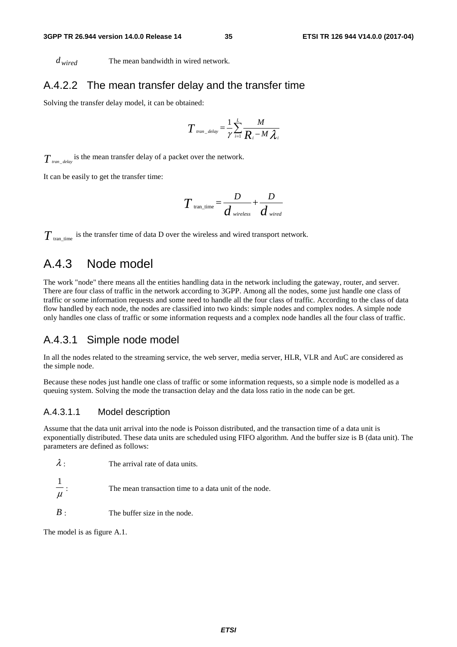*d* <sub>wired</sub> The mean bandwidth in wired network.

#### A.4.2.2 The mean transfer delay and the transfer time

Solving the transfer delay model, it can be obtained:

$$
T_{\text{tran\_delay}} = \frac{1}{\gamma} \sum_{i=1}^{L} \frac{M}{R_i - M \lambda_i}
$$

 $T_{\textit{tran\_delay}}$  is the mean transfer delay of a packet over the network.

It can be easily to get the transfer time:

$$
T_{\text{tran\_time}} = \frac{D}{d_{\text{wireless}}} + \frac{D}{d_{\text{wired}}}
$$

 $T_{\text{tran time}}$  is the transfer time of data D over the wireless and wired transport network.

### A.4.3 Node model

The work "node" there means all the entities handling data in the network including the gateway, router, and server. There are four class of traffic in the network according to 3GPP. Among all the nodes, some just handle one class of traffic or some information requests and some need to handle all the four class of traffic. According to the class of data flow handled by each node, the nodes are classified into two kinds: simple nodes and complex nodes. A simple node only handles one class of traffic or some information requests and a complex node handles all the four class of traffic.

#### A.4.3.1 Simple node model

In all the nodes related to the streaming service, the web server, media server, HLR, VLR and AuC are considered as the simple node.

Because these nodes just handle one class of traffic or some information requests, so a simple node is modelled as a queuing system. Solving the mode the transaction delay and the data loss ratio in the node can be get.

#### A.4.3.1.1 Model description

Assume that the data unit arrival into the node is Poisson distributed, and the transaction time of a data unit is exponentially distributed. These data units are scheduled using FIFO algorithm. And the buffer size is B (data unit). The parameters are defined as follows:

μ 1 The mean transaction time to a data unit of the node.

*B* : The buffer size in the node.

The model is as figure A.1.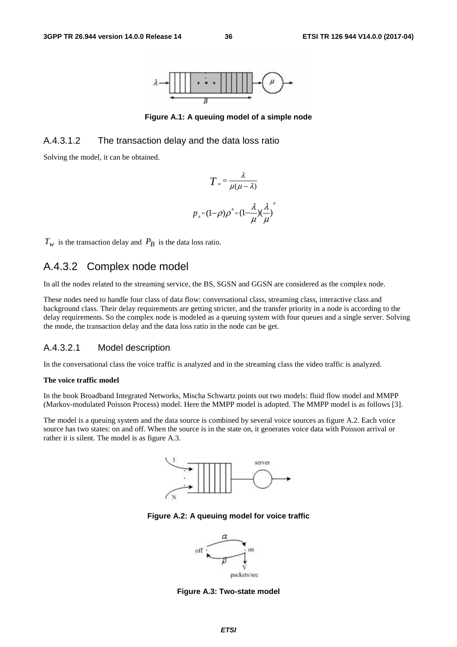

**Figure A.1: A queuing model of a simple node** 

#### A.4.3.1.2 The transaction delay and the data loss ratio

Solving the model, it can be obtained.

$$
T = \frac{\lambda}{\mu(\mu - \lambda)}
$$

$$
p_{B} = (1 - \rho)\rho^{B} = (1 - \frac{\lambda}{\mu})(\frac{\lambda}{\mu})
$$

*B*

 $T_w$  is the transaction delay and  $P_B$  is the data loss ratio.

### A.4.3.2 Complex node model

In all the nodes related to the streaming service, the BS, SGSN and GGSN are considered as the complex node.

These nodes need to handle four class of data flow: conversational class, streaming class, interactive class and background class. Their delay requirements are getting stricter, and the transfer priority in a node is according to the delay requirements. So the complex node is modeled as a queuing system with four queues and a single server. Solving the mode, the transaction delay and the data loss ratio in the node can be get.

#### A.4.3.2.1 Model description

In the conversational class the voice traffic is analyzed and in the streaming class the video traffic is analyzed.

#### **The voice traffic model**

In the book Broadband Integrated Networks, Mischa Schwartz points out two models: fluid flow model and MMPP (Markov-modulated Poisson Process) model. Here the MMPP model is adopted. The MMPP model is as follows [3].

The model is a queuing system and the data source is combined by several voice sources as figure A.2. Each voice source has two states: on and off. When the source is in the state on, it generates voice data with Poisson arrival or rather it is silent. The model is as figure A.3.



**Figure A.2: A queuing model for voice traffic** 



**Figure A.3: Two-state model**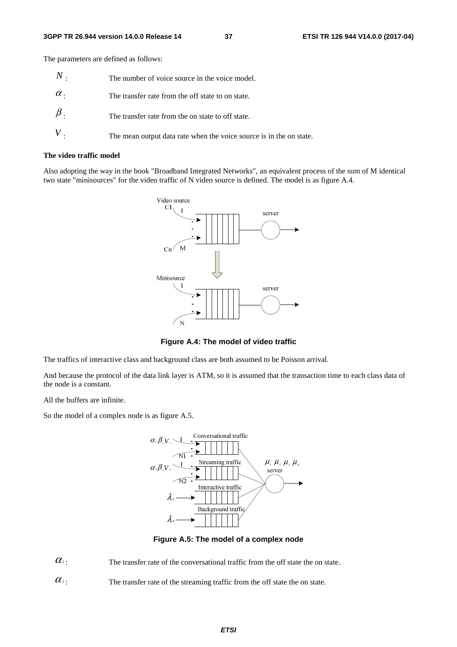The parameters are defined as follows:

| $N$ .      | The number of voice source in the voice model.                      |
|------------|---------------------------------------------------------------------|
| $\alpha$ . | The transfer rate from the off state to on state.                   |
|            | The transfer rate from the on state to off state.                   |
|            | The mean output data rate when the voice source is in the on state. |

#### **The video traffic model**

Also adopting the way in the book "Broadband Integrated Networks", an equivalent process of the sum of M identical two state "minisources" for the video traffic of N video source is defined. The model is as figure A.4.



**Figure A.4: The model of video traffic** 

The traffics of interactive class and background class are both assumed to be Poisson arrival.

And because the protocol of the data link layer is ATM, so it is assumed that the transaction time to each class data of the node is a constant.

All the buffers are infinite.

So the model of a complex node is as figure A.5.



**Figure A.5: The model of a complex node** 

 $\alpha_1$ : The transfer rate of the conversational traffic from the off state the on state.

 $\alpha$ <sup>2</sup>: The transfer rate of the streaming traffic from the off state the on state.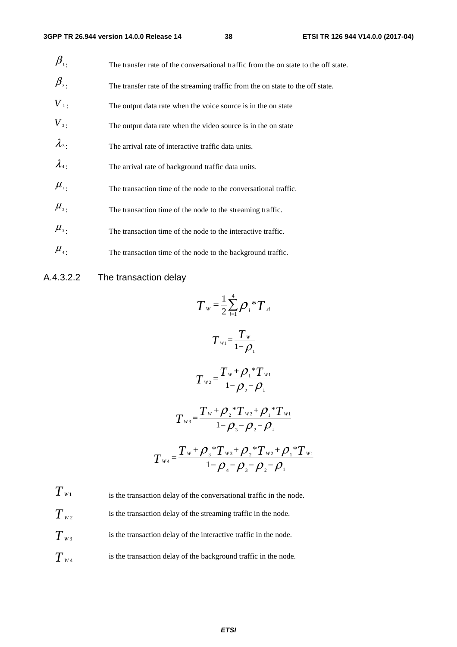| $\beta_{\scriptscriptstyle \rm 1}$ | The transfer rate of the conversational traffic from the on state to the off state. |
|------------------------------------|-------------------------------------------------------------------------------------|
| $\beta_{\scriptscriptstyle 2}$ .   | The transfer rate of the streaming traffic from the on state to the off state.      |
| $V_{\perp}$                        | The output data rate when the voice source is in the on state                       |
| $V_{2}$                            | The output data rate when the video source is in the on state                       |
| $\lambda_{3}$ .                    | The arrival rate of interactive traffic data units.                                 |
| $\lambda_{4}$ .                    | The arrival rate of background traffic data units.                                  |
| $\mu_{\scriptscriptstyle{1}}$ .    | The transaction time of the node to the conversational traffic.                     |
| $\mu_{\scriptscriptstyle 2}$ .     | The transaction time of the node to the streaming traffic.                          |
| $\mu_{\scriptscriptstyle 3}$ .     | The transaction time of the node to the interactive traffic.                        |
| $\mu_{\scriptscriptstyle 4}$ .     | The transaction time of the node to the background traffic.                         |

### A.4.3.2.2 The transaction delay

$$
T_{w} = \frac{1}{2} \sum_{i=1}^{4} \rho_{i} {}^{*}T_{si}
$$
\n
$$
T_{w1} = \frac{T_{w}}{1-\rho_{1}}
$$
\n
$$
T_{w2} = \frac{T_{w} + \rho_{1} {}^{*}T_{w1}}{1-\rho_{2} - \rho_{1}}
$$
\n
$$
T_{w3} = \frac{T_{w} + \rho_{2} {}^{*}T_{w2} + \rho_{1} {}^{*}T_{w1}}{1-\rho_{3} - \rho_{2} - \rho_{1}}
$$
\n
$$
T_{w4} = \frac{T_{w} + \rho_{3} {}^{*}T_{w3} + \rho_{2} {}^{*}T_{w2} + \rho_{1} {}^{*}T_{w1}}{1-\rho_{4} - \rho_{3} - \rho_{2} - \rho_{1}}
$$

 $T_{W1}$  is the transaction delay of the conversational traffic in the node.  $T_{w_2}$  is the transaction delay of the streaming traffic in the node.  $T_{w3}$  is the transaction delay of the interactive traffic in the node.  $T_{W4}$  is the transaction delay of the background traffic in the node.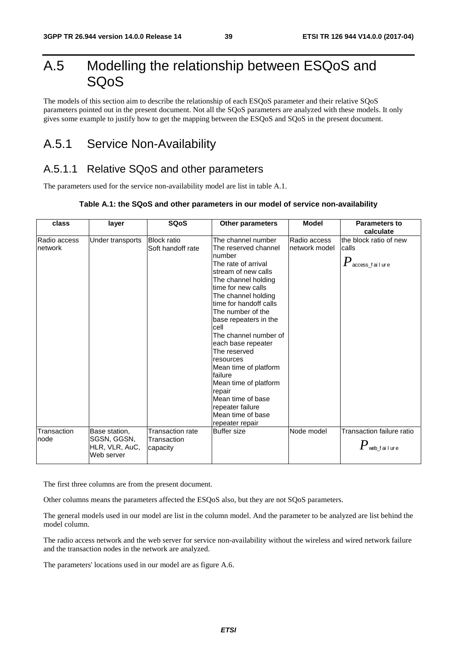## A.5 Modelling the relationship between ESQoS and SQoS

The models of this section aim to describe the relationship of each ESQoS parameter and their relative SQoS parameters pointed out in the present document. Not all the SQoS parameters are analyzed with these models. It only gives some example to justify how to get the mapping between the ESQoS and SQoS in the present document.

## A.5.1 Service Non-Availability

### A.5.1.1 Relative SQoS and other parameters

The parameters used for the service non-availability model are list in table A.1.

#### **Table A.1: the SQoS and other parameters in our model of service non-availability**

| class                   | layer                                                        | <b>SQoS</b>                                 | <b>Other parameters</b>                                                                                                                                                                                                                                                                                                                                                                                                                                                                    | <b>Model</b>                  | <b>Parameters to</b><br>calculate                               |
|-------------------------|--------------------------------------------------------------|---------------------------------------------|--------------------------------------------------------------------------------------------------------------------------------------------------------------------------------------------------------------------------------------------------------------------------------------------------------------------------------------------------------------------------------------------------------------------------------------------------------------------------------------------|-------------------------------|-----------------------------------------------------------------|
| Radio access<br>network | Under transports                                             | <b>Block ratio</b><br>Soft handoff rate     | The channel number<br>The reserved channel<br>number<br>The rate of arrival<br>stream of new calls<br>The channel holding<br>time for new calls<br>The channel holding<br>time for handoff calls<br>The number of the<br>base repeaters in the<br>cell<br>The channel number of<br>each base repeater<br>The reserved<br>resources<br>Mean time of platform<br>failure<br>Mean time of platform<br>repair<br>Mean time of base<br>repeater failure<br>Mean time of base<br>repeater repair | Radio access<br>network model | the block ratio of new<br>calls<br>$P_{\,\rm access\_fail}$ ure |
| Transaction<br>node     | Base station,<br>SGSN, GGSN,<br>HLR, VLR, AuC,<br>Web server | Transaction rate<br>Transaction<br>capacity | <b>Buffer size</b>                                                                                                                                                                                                                                                                                                                                                                                                                                                                         | Node model                    | Transaction failure ratio<br>$\boldsymbol{P}$ web_failure       |

The first three columns are from the present document.

Other columns means the parameters affected the ESQoS also, but they are not SQoS parameters.

The general models used in our model are list in the column model. And the parameter to be analyzed are list behind the model column.

The radio access network and the web server for service non-availability without the wireless and wired network failure and the transaction nodes in the network are analyzed.

The parameters' locations used in our model are as figure A.6.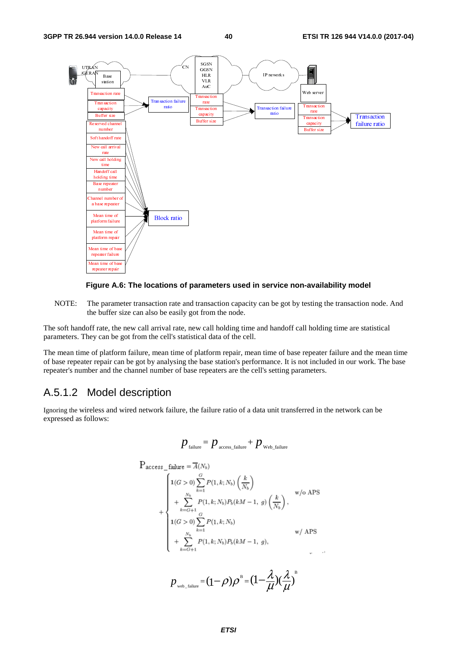



NOTE: The parameter transaction rate and transaction capacity can be got by testing the transaction node. And the buffer size can also be easily got from the node.

The soft handoff rate, the new call arrival rate, new call holding time and handoff call holding time are statistical parameters. They can be got from the cell's statistical data of the cell.

The mean time of platform failure, mean time of platform repair, mean time of base repeater failure and the mean time of base repeater repair can be got by analysing the base station's performance. It is not included in our work. The base repeater's number and the channel number of base repeaters are the cell's setting parameters.

### A.5.1.2 Model description

Ignoring the wireless and wired network failure, the failure ratio of a data unit transferred in the network can be expressed as follows:

$$
p_{\text{failure}} = p_{\text{access\_failure}} + p_{\text{web\_failure}}
$$

$$
P_{access\_failure} = \overline{A}(N_b)
$$
\n
$$
+ \begin{cases}\n1(G > 0) \sum_{k=1}^{G} P(1, k; N_b) \left(\frac{k}{N_b}\right) & \text{w/o APS} \\
+ \sum_{k=G+1}^{N_b} P(1, k; N_b) P_b(kM - 1, g) \left(\frac{k}{N_b}\right), & \text{w/o APS} \\
1(G > 0) \sum_{k=1}^{G} P(1, k; N_b) & \text{w/ APS} \\
+ \sum_{k=G+1}^{N_b} P(1, k; N_b) P_b(kM - 1, g), & \text{w/APS}\n\end{cases}
$$

 $p_{_{\rm web\_failure}}\!=\!(\!-\!\rho)\rho^{\text{\tiny B}}\!=\!(\!1\!-\!\frac{\lambda}{\mu}\!){\!(\frac{\lambda}{\mu})}^{\text{\tiny B}}$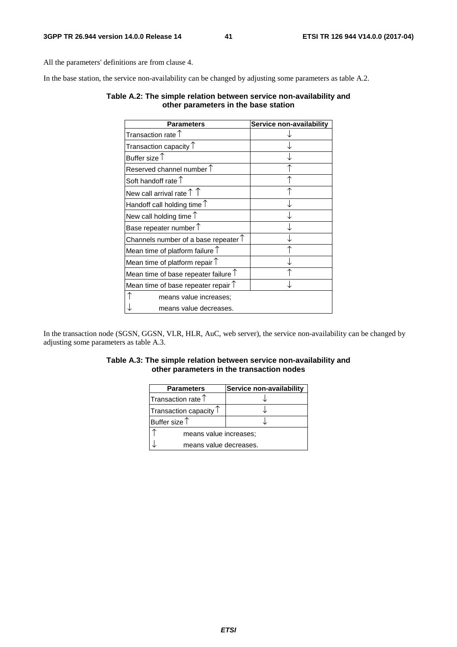All the parameters' definitions are from clause 4.

In the base station, the service non-availability can be changed by adjusting some parameters as table A.2.

#### **Table A.2: The simple relation between service non-availability and other parameters in the base station**

| Parameters                                    | Service non-availability |
|-----------------------------------------------|--------------------------|
| Transaction rate $\uparrow$                   |                          |
| Transaction capacity $\mathop{\Upsilon}$      |                          |
| Buffer size $\uparrow$                        |                          |
| Reserved channel number $\uparrow$            |                          |
| Soft handoff rate $\uparrow$                  |                          |
| New call arrival rate $\uparrow \uparrow$     |                          |
| Handoff call holding time $\uparrow$          |                          |
| New call holding time $\uparrow$              |                          |
| Base repeater number $\uparrow$               |                          |
| Channels number of a base repeater $\uparrow$ |                          |
| Mean time of platform failure $\uparrow$      |                          |
| Mean time of platform repair $\uparrow$       |                          |
| Mean time of base repeater failure $\uparrow$ |                          |
| Mean time of base repeater repair $\uparrow$  |                          |
| means value increases;                        |                          |
| means value decreases.                        |                          |

In the transaction node (SGSN, GGSN, VLR, HLR, AuC, web server), the service non-availability can be changed by adjusting some parameters as table A.3.

#### **Table A.3: The simple relation between service non-availability and other parameters in the transaction nodes**

| <b>Parameters</b>               | <b>Service non-availability</b> |
|---------------------------------|---------------------------------|
| Transaction rate $\uparrow$     |                                 |
| Transaction capacity $\uparrow$ |                                 |
| Buffer size $\uparrow$          |                                 |
| means value increases;          |                                 |
| means value decreases.          |                                 |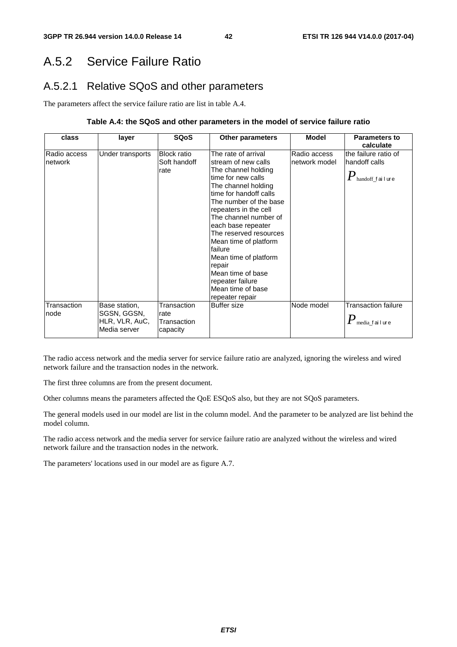## A.5.2 Service Failure Ratio

## A.5.2.1 Relative SQoS and other parameters

The parameters affect the service failure ratio are list in table A.4.

#### **Table A.4: the SQoS and other parameters in the model of service failure ratio**

| class                   | layer                                                          | <b>SQoS</b>                                    | <b>Other parameters</b>                                                                                                                                                                                                                                                                                                                                                                                                       | <b>Model</b>                  | <b>Parameters to</b><br>calculate                                           |
|-------------------------|----------------------------------------------------------------|------------------------------------------------|-------------------------------------------------------------------------------------------------------------------------------------------------------------------------------------------------------------------------------------------------------------------------------------------------------------------------------------------------------------------------------------------------------------------------------|-------------------------------|-----------------------------------------------------------------------------|
| Radio access<br>network | Under transports                                               | <b>Block ratio</b><br>Soft handoff<br>rate     | The rate of arrival<br>stream of new calls<br>The channel holding<br>time for new calls<br>The channel holding<br>time for handoff calls<br>The number of the base<br>repeaters in the cell<br>The channel number of<br>each base repeater<br>The reserved resources<br>Mean time of platform<br>lfailure<br>Mean time of platform<br>repair<br>Mean time of base<br>repeater failure<br>Mean time of base<br>repeater repair | Radio access<br>network model | the failure ratio of<br>handoff calls<br>$\pmb{P}_\text{handoff\_f}$ ailure |
| Transaction<br>node     | Base station,<br>SGSN, GGSN,<br>HLR, VLR, AuC,<br>Media server | Transaction<br>rate<br>Transaction<br>capacity | Buffer size                                                                                                                                                                                                                                                                                                                                                                                                                   | Node model                    | <b>Transaction failure</b><br>$\pmb{P}$ media_failure                       |

The radio access network and the media server for service failure ratio are analyzed, ignoring the wireless and wired network failure and the transaction nodes in the network.

The first three columns are from the present document.

Other columns means the parameters affected the QoE ESQoS also, but they are not SQoS parameters.

The general models used in our model are list in the column model. And the parameter to be analyzed are list behind the model column.

The radio access network and the media server for service failure ratio are analyzed without the wireless and wired network failure and the transaction nodes in the network.

The parameters' locations used in our model are as figure A.7.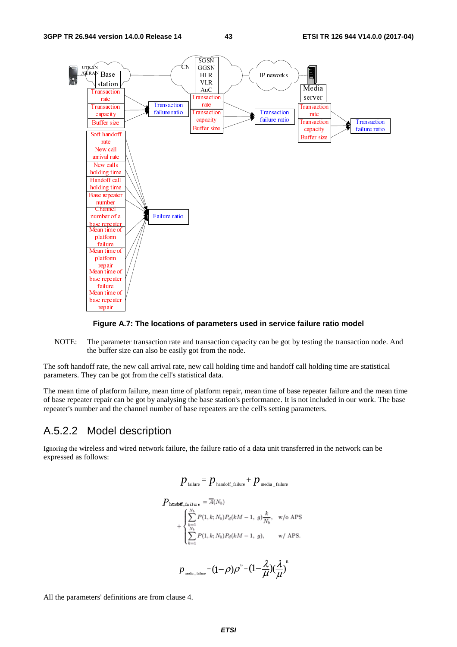

#### **Figure A.7: The locations of parameters used in service failure ratio model**

NOTE: The parameter transaction rate and transaction capacity can be got by testing the transaction node. And the buffer size can also be easily got from the node.

The soft handoff rate, the new call arrival rate, new call holding time and handoff call holding time are statistical parameters. They can be got from the cell's statistical data.

The mean time of platform failure, mean time of platform repair, mean time of base repeater failure and the mean time of base repeater repair can be got by analysing the base station's performance. It is not included in our work. The base repeater's number and the channel number of base repeaters are the cell's setting parameters.

#### A.5.2.2 Model description

Ignoring the wireless and wired network failure, the failure ratio of a data unit transferred in the network can be expressed as follows:

$$
p_{\text{failure}} = p_{\text{handoff\_failure}} + p_{\text{median\_failure}}
$$
\n
$$
P_{\text{handoff\_failure}} = \overline{A}(N_b)
$$
\n
$$
+ \begin{cases} \sum_{k=1}^{N_b} P(1, k; N_b) P_d(kM - 1, g) \frac{k}{N_b}, & \text{w/o APS.} \\ \sum_{k=1}^{N_b} P(1, k; N_b) P_d(kM - 1, g), & \text{w/APS.} \end{cases}
$$
\n
$$
p_{\text{median}} = (1 - \rho)\rho^B = (1 - \frac{\lambda}{\mu})(\frac{\lambda}{\mu})^B
$$

All the parameters' definitions are from clause 4.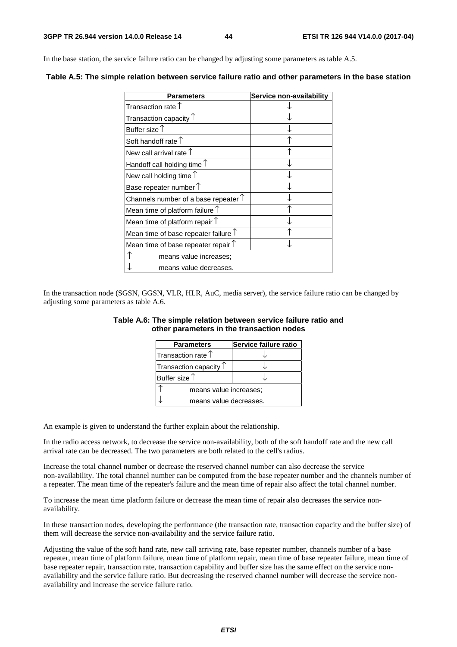In the base station, the service failure ratio can be changed by adjusting some parameters as table A.5.

| <b>Parameters</b>                             | Service non-availability |
|-----------------------------------------------|--------------------------|
| Transaction rate $\uparrow$                   |                          |
| Transaction capacity $\mathop{\Upsilon}$      |                          |
| Buffer size $\uparrow$                        |                          |
| Soft handoff rate $\uparrow$                  |                          |
| New call arrival rate $\uparrow$              |                          |
| Handoff call holding time $\uparrow$          |                          |
| New call holding time $\uparrow$              |                          |
| Base repeater number $\uparrow$               |                          |
| Channels number of a base repeater $\uparrow$ |                          |
| Mean time of platform failure $\uparrow$      |                          |
| Mean time of platform repair $\uparrow$       |                          |
| Mean time of base repeater failure $\uparrow$ |                          |
| Mean time of base repeater repair $\uparrow$  |                          |
| means value increases;                        |                          |
| means value decreases.                        |                          |

**Table A.5: The simple relation between service failure ratio and other parameters in the base station** 

In the transaction node (SGSN, GGSN, VLR, HLR, AuC, media server), the service failure ratio can be changed by adjusting some parameters as table A.6.

| <b>Parameters</b>               | Service failure ratio |  |
|---------------------------------|-----------------------|--|
| Transaction rate 1              |                       |  |
| Transaction capacity $\uparrow$ |                       |  |
| Buffer size $\uparrow$          |                       |  |
| means value increases;          |                       |  |
| means value decreases.          |                       |  |

#### **Table A.6: The simple relation between service failure ratio and other parameters in the transaction nodes**

An example is given to understand the further explain about the relationship.

In the radio access network, to decrease the service non-availability, both of the soft handoff rate and the new call arrival rate can be decreased. The two parameters are both related to the cell's radius.

Increase the total channel number or decrease the reserved channel number can also decrease the service non-availability. The total channel number can be computed from the base repeater number and the channels number of a repeater. The mean time of the repeater's failure and the mean time of repair also affect the total channel number.

To increase the mean time platform failure or decrease the mean time of repair also decreases the service nonavailability.

In these transaction nodes, developing the performance (the transaction rate, transaction capacity and the buffer size) of them will decrease the service non-availability and the service failure ratio.

Adjusting the value of the soft hand rate, new call arriving rate, base repeater number, channels number of a base repeater, mean time of platform failure, mean time of platform repair, mean time of base repeater failure, mean time of base repeater repair, transaction rate, transaction capability and buffer size has the same effect on the service nonavailability and the service failure ratio. But decreasing the reserved channel number will decrease the service nonavailability and increase the service failure ratio.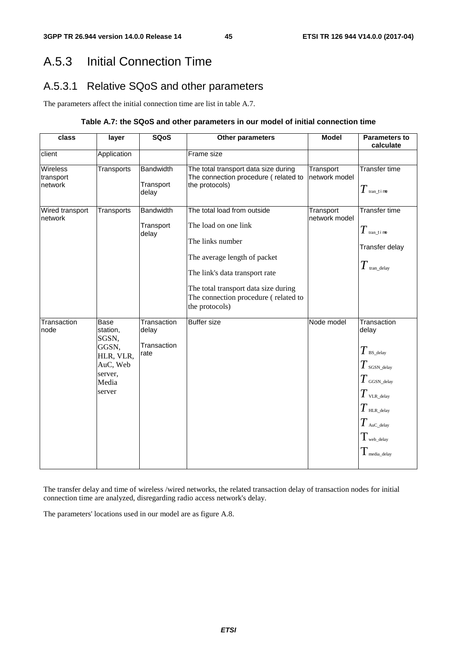## A.5.3 Initial Connection Time

## A.5.3.1 Relative SQoS and other parameters

The parameters affect the initial connection time are list in table A.7.

#### **Table A.7: the SQoS and other parameters in our model of initial connection time**

| class                                   | layer                                                                                     | <b>SQoS</b>                                 | Other parameters                                                                                                                                                                                                                            | <b>Model</b>               | <b>Parameters to</b><br>calculate                                                                                                                                                                      |
|-----------------------------------------|-------------------------------------------------------------------------------------------|---------------------------------------------|---------------------------------------------------------------------------------------------------------------------------------------------------------------------------------------------------------------------------------------------|----------------------------|--------------------------------------------------------------------------------------------------------------------------------------------------------------------------------------------------------|
| client                                  | Application                                                                               |                                             | Frame size                                                                                                                                                                                                                                  |                            |                                                                                                                                                                                                        |
| <b>Wireless</b><br>transport<br>network | Transports                                                                                | <b>Bandwidth</b><br>Transport<br>delay      | The total transport data size during<br>The connection procedure (related to<br>the protocols)                                                                                                                                              | Transport<br>network model | <b>Transfer time</b><br>$T$ tran_t i me                                                                                                                                                                |
| Wired transport<br>network              | Transports                                                                                | <b>Bandwidth</b><br>Transport<br>delay      | The total load from outside<br>The load on one link<br>The links number<br>The average length of packet<br>The link's data transport rate<br>The total transport data size during<br>The connection procedure (related to<br>the protocols) | Transport<br>network model | <b>Transfer time</b><br>$T$ tran_t i me<br>Transfer delay<br>$T$ tran_delay                                                                                                                            |
| Transaction<br>node                     | Base<br>station,<br>SGSN,<br>GGSN,<br>HLR, VLR,<br>AuC, Web<br>server,<br>Media<br>server | Transaction<br>delay<br>Transaction<br>rate | <b>Buffer size</b>                                                                                                                                                                                                                          | Node model                 | Transaction<br>delay<br>$T$ BS_delay<br>$T{\scriptstyle_{\rm SGSN\_delay}}$<br>$T$ GGSN_delay<br>$T$ vlr._delay<br>$T$ HLR_delay<br>$T$ AuC_delay<br>$T_{\rm web\_delay}$<br>$T_{\rm \,median\_delay}$ |

The transfer delay and time of wireless /wired networks, the related transaction delay of transaction nodes for initial connection time are analyzed, disregarding radio access network's delay.

The parameters' locations used in our model are as figure A.8.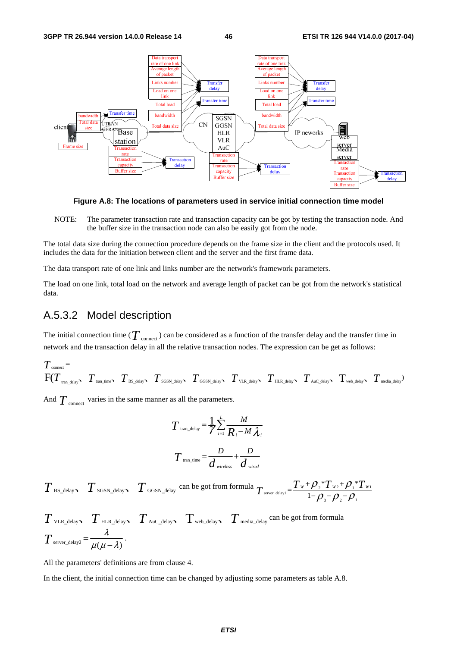

**Figure A.8: The locations of parameters used in service initial connection time model** 

NOTE: The parameter transaction rate and transaction capacity can be got by testing the transaction node. And the buffer size in the transaction node can also be easily got from the node.

The total data size during the connection procedure depends on the frame size in the client and the protocols used. It includes the data for the initiation between client and the server and the first frame data.

The data transport rate of one link and links number are the network's framework parameters.

The load on one link, total load on the network and average length of packet can be got from the network's statistical data.

### A.5.3.2 Model description

The initial connection time ( $T_{\text{connect}}$ ) can be considered as a function of the transfer delay and the transfer time in network and the transaction delay in all the relative transaction nodes. The expression can be get as follows:

$$
T_{\text{connect}} = \newline F(T_{\text{tran\_delay}}, T_{\text{tran\_time}}, T_{\text{BS\_delay}}, T_{\text{SGSN\_delay}}, T_{\text{GGSN\_delay}}, T_{\text{VL\_delay}}, T_{\text{HL\_delay}}, T_{\text{Auc\_delay}}, T_{\text{web\_delay}}, T_{\text{media\_delay}})
$$

And  $T_{\text{connect}}$  varies in the same manner as all the parameters.

$$
T_{\text{tran\_delay}} = \frac{1}{\gamma} \sum_{i=1}^{L} \frac{M}{R_i - M \lambda_i}
$$

$$
T_{\text{tran\_time}} = \frac{D}{d_{\text{wireless}}} + \frac{D}{d_{\text{wire}}
$$

 $T$  BS\_delay  $T$  SGSN\_delay  $T$  GGSN\_delay can be got from formula  $T$ <sub>server\_delay1</sub> =  $\frac{T_w + \rho_z * T_{w_2} + \rho_1 * T_{w_1}}{1 - \rho_z + \rho_z}$ 3  $\mu_2$   $\mu_1$  $T_{w_2}$ + $\mathcal{O}$ .\*  $T_{\text{server\_delay1}} = \frac{T_w + \rho_{2} * T_{w2} + \rho_{1} * T_w}{1 - \rho_{3} - \rho_{2} - \rho_{1}}$ 

$$
T_{\text{VLR\_delay}} \sum_{\text{HLR\_delay}} T_{\text{Auc\_delay}} \sum_{\text{wcb\_delay}} T_{\text{median}} \sum_{\text{median}} \text{ can be got from formula}
$$
  

$$
T_{\text{server\_delay}} = \frac{\lambda}{\mu(\mu - \lambda)}.
$$

All the parameters' definitions are from clause 4.

In the client, the initial connection time can be changed by adjusting some parameters as table A.8.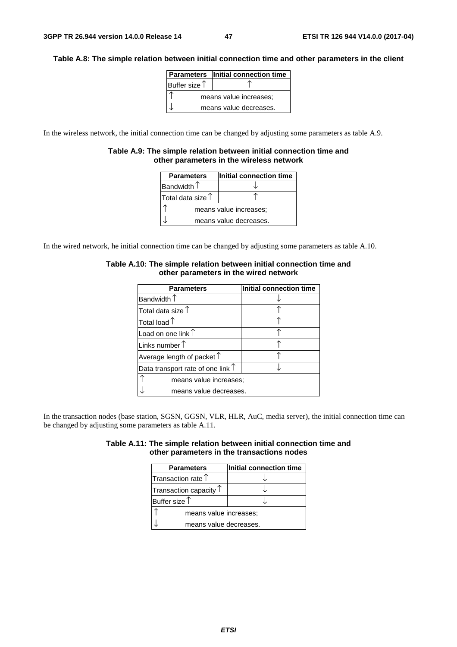#### **Table A.8: The simple relation between initial connection time and other parameters in the client**

|                        | Parameters   Initial connection time |  |
|------------------------|--------------------------------------|--|
| Buffer size $\uparrow$ |                                      |  |
| means value increases; |                                      |  |
| means value decreases. |                                      |  |

In the wireless network, the initial connection time can be changed by adjusting some parameters as table A.9.

#### **Table A.9: The simple relation between initial connection time and other parameters in the wireless network**

| <b>Parameters</b>          | Initial connection time |  |
|----------------------------|-------------------------|--|
| Bandwidth $\uparrow$       |                         |  |
| Total data size $\uparrow$ |                         |  |
| means value increases;     |                         |  |
| means value decreases.     |                         |  |

In the wired network, he initial connection time can be changed by adjusting some parameters as table A.10.

| <b>Parameters</b>                          | Initial connection time |  |
|--------------------------------------------|-------------------------|--|
| Bandwidth $\uparrow$                       |                         |  |
| Total data size $\uparrow$                 |                         |  |
| Total load $\uparrow$                      |                         |  |
| Load on one link $\uparrow$                |                         |  |
| Links number $\uparrow$                    |                         |  |
| Average length of packet $\uparrow$        |                         |  |
| Data transport rate of one link $\uparrow$ |                         |  |
| means value increases;                     |                         |  |
| means value decreases.                     |                         |  |

#### **Table A.10: The simple relation between initial connection time and other parameters in the wired network**

In the transaction nodes (base station, SGSN, GGSN, VLR, HLR, AuC, media server), the initial connection time can be changed by adjusting some parameters as table A.11.

| Table A.11: The simple relation between initial connection time and |  |
|---------------------------------------------------------------------|--|
| other parameters in the transactions nodes                          |  |

| <b>Parameters</b>               | Initial connection time |
|---------------------------------|-------------------------|
| Transaction rate $\uparrow$     |                         |
| Transaction capacity $\uparrow$ |                         |
| Buffer size $\uparrow$          |                         |
| means value increases;          |                         |
| means value decreases.          |                         |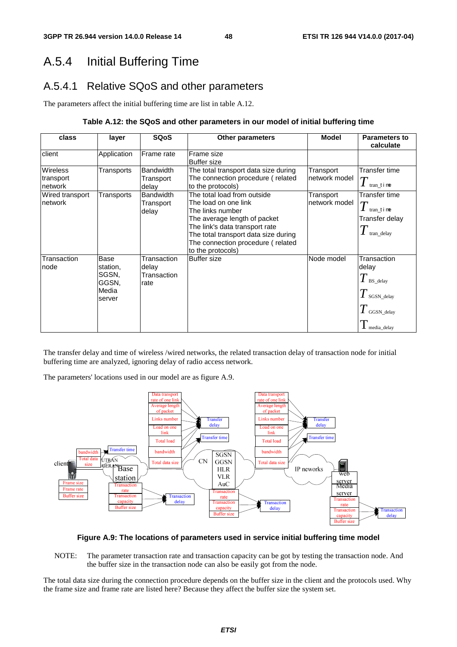## A.5.4 Initial Buffering Time

## A.5.4.1 Relative SQoS and other parameters

The parameters affect the initial buffering time are list in table A.12.

#### **Table A.12: the SQoS and other parameters in our model of initial buffering time**

| class                                   | layer                                                 | <b>SQoS</b>                                 | <b>Other parameters</b>                                                                                                                                                                                                                     | <b>Model</b>               | <b>Parameters to</b><br>calculate                                                                   |
|-----------------------------------------|-------------------------------------------------------|---------------------------------------------|---------------------------------------------------------------------------------------------------------------------------------------------------------------------------------------------------------------------------------------------|----------------------------|-----------------------------------------------------------------------------------------------------|
| client                                  | Application                                           | Frame rate                                  | Frame size<br><b>Buffer size</b>                                                                                                                                                                                                            |                            |                                                                                                     |
| <b>Wireless</b><br>transport<br>network | Transports                                            | <b>Bandwidth</b><br>Transport<br>delay      | The total transport data size during<br>The connection procedure (related<br>to the protocols)                                                                                                                                              | Transport<br>network model | Transfer time<br>$T$ tran_t i me                                                                    |
| Wired transport<br>network              | Transports                                            | <b>Bandwidth</b><br>Transport<br>delay      | The total load from outside<br>The load on one link<br>The links number<br>The average length of packet<br>The link's data transport rate<br>The total transport data size during<br>The connection procedure (related<br>to the protocols) | Transport<br>network model | Transfer time<br>$T$ tran time<br>Transfer delay<br>$\boldsymbol{I}$ tran_delay                     |
| Transaction<br>node                     | Base<br>station,<br>SGSN,<br>GGSN,<br>Media<br>server | Transaction<br>delay<br>Transaction<br>rate | <b>Buffer</b> size                                                                                                                                                                                                                          | Node model                 | Transaction<br>delay<br>$T$ BS_delay<br>$T$ sgSN_delay<br>$T$ GGSN_delay<br>$\mathbf 1$ media_delay |

The transfer delay and time of wireless /wired networks, the related transaction delay of transaction node for initial buffering time are analyzed, ignoring delay of radio access network.

The parameters' locations used in our model are as figure A.9.



#### **Figure A.9: The locations of parameters used in service initial buffering time model**

NOTE: The parameter transaction rate and transaction capacity can be got by testing the transaction node. And the buffer size in the transaction node can also be easily got from the node.

The total data size during the connection procedure depends on the buffer size in the client and the protocols used. Why the frame size and frame rate are listed here? Because they affect the buffer size the system set.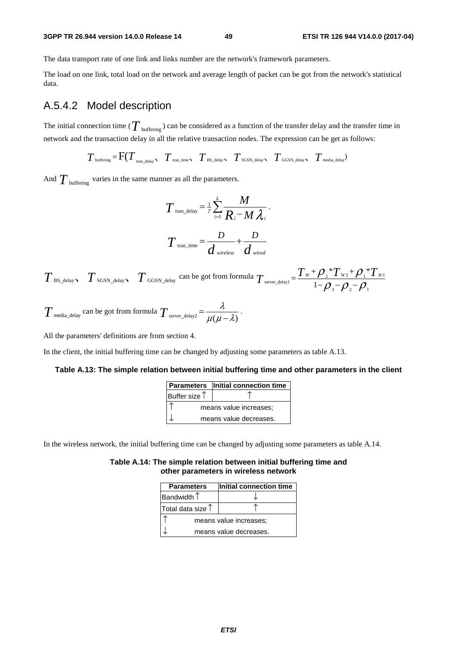#### **3GPP TR 26.944 version 14.0.0 Release 14 49 ETSI TR 126 944 V14.0.0 (2017-04)**

The data transport rate of one link and links number are the network's framework parameters.

The load on one link, total load on the network and average length of packet can be got from the network's statistical data.

### A.5.4.2 Model description

The initial connection time ( $T_{\text{buffering}}$ ) can be considered as a function of the transfer delay and the transfer time in network and the transaction delay in all the relative transaction nodes. The expression can be get as follows:

$$
T_{\text{buffering}} = F(T_{\text{tran\_delay}}, T_{\text{tran\_time}}, T_{\text{BS\_delay}}, T_{\text{SGSN\_delay}}, T_{\text{GGSN\_delay}}, T_{\text{median}})
$$

And  $T_{\text{buffering}}$  varies in the same manner as all the parameters.

$$
T_{\text{tran\_delay}} = \frac{1}{\gamma} \sum_{i=1}^{L} \frac{M}{R_i - M \lambda_i}.
$$

$$
T_{\text{tran\_time}} = \frac{D}{d_{\text{wireless}}} + \frac{D}{d_{\text{wireed}}}
$$

 $T_{\text{BS\_delay}}$   $T_{\text{SGSN\_delay}}$   $T_{\text{GGSN\_delay}}$  can be got from formula  $T_{\text{server\_delay1}} = \frac{T_w + \rho_z * T_{wz} + \rho_z * T_{w1}}{1 - \rho_z + \rho_z * T_{w2}}$ 3  $\mathcal{V}$  2  $\mathcal{V}$  1 \* $T_{w}$ + $\rho$ <sup>\*</sup>  $T_{\text{server\_delay1}} = \frac{T_w + \rho_{2} * T_{w2} + \rho_{1} * T_w}{1 - \rho_{3} - \rho_{2} - \rho_{1}}$ 

$$
T_{\text{median}}
$$
 can be got from formula  $T_{\text{server\_delay2}} = \frac{\lambda}{\mu(\mu - \lambda)}$ .

All the parameters' definitions are from section 4.

In the client, the initial buffering time can be changed by adjusting some parameters as table A.13.

#### **Table A.13: The simple relation between initial buffering time and other parameters in the client**

|                        | Parameters   Initial connection time |
|------------------------|--------------------------------------|
| Buffer size $\uparrow$ |                                      |
|                        | means value increases;               |
|                        | means value decreases.               |

In the wireless network, the initial buffering time can be changed by adjusting some parameters as table A.14.

#### **Table A.14: The simple relation between initial buffering time and other parameters in wireless network**

| <b>Parameters</b>          | Initial connection time |
|----------------------------|-------------------------|
| Bandwidth $\uparrow$       |                         |
| Total data size $\uparrow$ |                         |
|                            | means value increases;  |
|                            | means value decreases.  |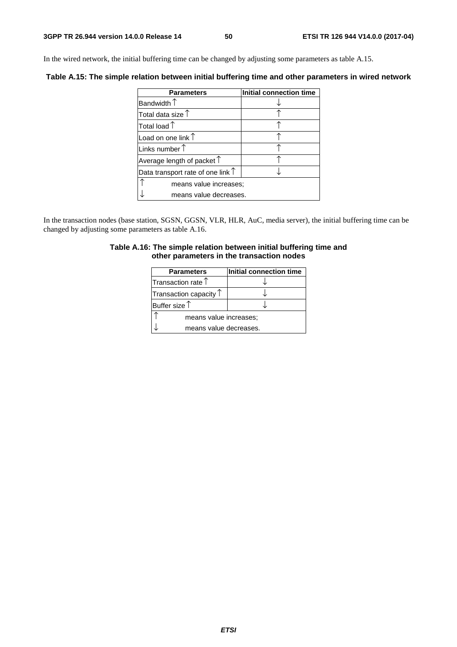In the wired network, the initial buffering time can be changed by adjusting some parameters as table A.15.

**Table A.15: The simple relation between initial buffering time and other parameters in wired network** 

| <b>Parameters</b>                          | <b>Initial connection time</b> |
|--------------------------------------------|--------------------------------|
| Bandwidth $\uparrow$                       |                                |
| Total data size $\uparrow$                 |                                |
| Total load $\uparrow$                      |                                |
| Load on one link $\uparrow$                |                                |
| Links number $\uparrow$                    |                                |
| Average length of packet $\uparrow$        |                                |
| Data transport rate of one link $\uparrow$ |                                |
| means value increases;                     |                                |
| means value decreases.                     |                                |

In the transaction nodes (base station, SGSN, GGSN, VLR, HLR, AuC, media server), the initial buffering time can be changed by adjusting some parameters as table A.16.

#### **Table A.16: The simple relation between initial buffering time and other parameters in the transaction nodes**

| <b>Parameters</b>               | Initial connection time |
|---------------------------------|-------------------------|
| Transaction rate $\uparrow$     |                         |
| Transaction capacity $\uparrow$ |                         |
| Buffer size $\uparrow$          |                         |
| means value increases;          |                         |
| means value decreases.          |                         |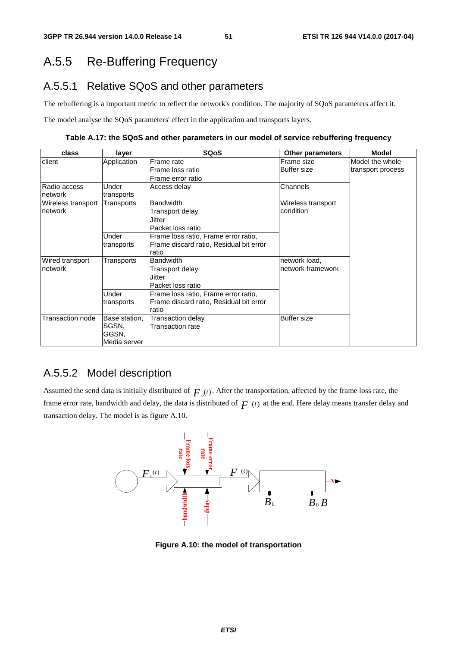## A.5.5 Re-Buffering Frequency

### A.5.5.1 Relative SQoS and other parameters

The rebuffering is a important metric to reflect the network's condition. The majority of SQoS parameters affect it.

The model analyse the SQoS parameters' effect in the application and transports layers.

**Table A.17: the SQoS and other parameters in our model of service rebuffering frequency** 

| class              | layer         | <b>SQoS</b>                             | <b>Other parameters</b> | <b>Model</b>      |
|--------------------|---------------|-----------------------------------------|-------------------------|-------------------|
| client             | Application   | Frame rate                              | Frame size              | Model the whole   |
|                    |               | Frame loss ratio                        | <b>Buffer size</b>      | transport process |
|                    |               | Frame error ratio                       |                         |                   |
| Radio access       | Under         | Access delay                            | Channels                |                   |
| network            | transports    |                                         |                         |                   |
| Wireless transport | Transports    | <b>Bandwidth</b>                        | Wireless transport      |                   |
| network            |               | Transport delay                         | condition               |                   |
|                    |               | Jitter                                  |                         |                   |
|                    |               | Packet loss ratio                       |                         |                   |
|                    | Under         | Frame loss ratio, Frame error ratio,    |                         |                   |
|                    | transports    | Frame discard ratio, Residual bit error |                         |                   |
|                    |               | ratio                                   |                         |                   |
| Wired transport    | Transports    | <b>Bandwidth</b>                        | network load,           |                   |
| network            |               | Transport delay                         | network framework       |                   |
|                    |               | Jitter                                  |                         |                   |
|                    |               | Packet loss ratio                       |                         |                   |
|                    | Under         | Frame loss ratio, Frame error ratio,    |                         |                   |
|                    | transports    | Frame discard ratio, Residual bit error |                         |                   |
|                    |               | ratio                                   |                         |                   |
| Transaction node   | Base station, | Transaction delay                       | <b>Buffer size</b>      |                   |
|                    | SGSN,         | Transaction rate                        |                         |                   |
|                    | GGSN,         |                                         |                         |                   |
|                    | Media server  |                                         |                         |                   |

### A.5.5.2 Model description

Assumed the send data is initially distributed of  $F_0(t)$ . After the transportation, affected by the frame loss rate, the frame error rate, bandwidth and delay, the data is distributed of  $F(t)$  at the end. Here delay means transfer delay and transaction delay. The model is as figure A.10.



**Figure A.10: the model of transportation**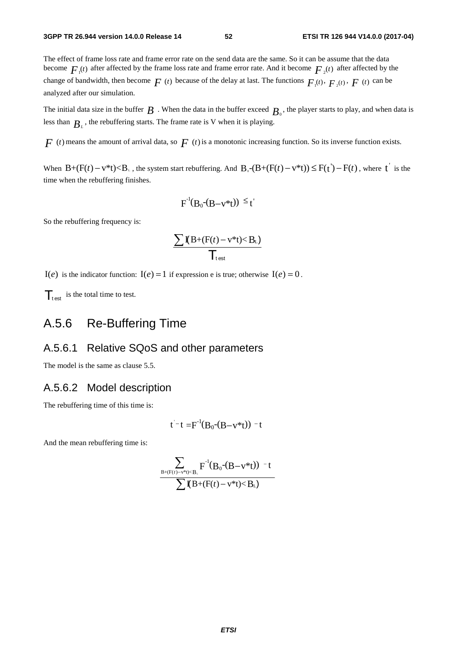The effect of frame loss rate and frame error rate on the send data are the same. So it can be assume that the data become  $F_{\mu}(t)$  after affected by the frame loss rate and frame error rate. And it become  $F_{\mu}(t)$  after affected by the change of bandwidth, then become  $F(t)$  because of the delay at last. The functions  $F(t)$ ,  $F(t)$ ,  $F(t)$  can be analyzed after our simulation.

The initial data size in the buffer  $B$ . When the data in the buffer exceed  $B_0$ , the player starts to play, and when data is less than  $B_L$ , the rebuffering starts. The frame rate is V when it is playing.

 $F(t)$  means the amount of arrival data, so  $F(t)$  is a monotonic increasing function. So its inverse function exists.

When  $B+(F(t)-v^*t), the system start rebuffering. And  $B_\circ$ - $(B+(F(t)-v^*t))\leq F(t')-F(t)$ , where t is the$ time when the rebuffering finishes.

$$
F^{-1}(B_0-(B-v^*t)) \leq t
$$

So the rebuffering frequency is:

$$
\frac{\sum \mathbf{I}(B+(F(t)-v^*t)\!\!<\!B_{\text{\tiny L}})}{\prod_{\text{test}}}
$$

I(*e*) is the indicator function: I(*e*) = 1 if expression e is true; otherwise I(*e*) = 0.

 $\mathcal{T}_{\text{test}}$  is the total time to test.

## A.5.6 Re-Buffering Time

#### A.5.6.1 Relative SQoS and other parameters

The model is the same as clause 5.5.

#### A.5.6.2 Model description

The rebuffering time of this time is:

$$
t^-t = F^{-1}(B_0-(B-v^*t)) - t
$$

And the mean rebuffering time is:

$$
\frac{\displaystyle\sum_{B+(F(t)-v^*t)
$$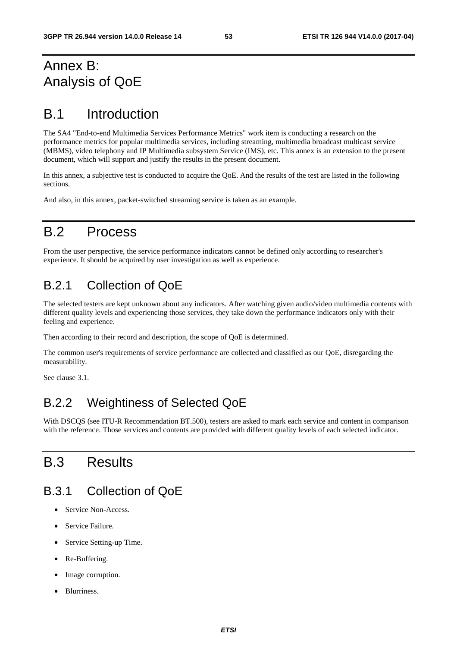## Annex B: Analysis of QoE

## B.1 Introduction

The SA4 "End-to-end Multimedia Services Performance Metrics" work item is conducting a research on the performance metrics for popular multimedia services, including streaming, multimedia broadcast multicast service (MBMS), video telephony and IP Multimedia subsystem Service (IMS), etc. This annex is an extension to the present document, which will support and justify the results in the present document.

In this annex, a subjective test is conducted to acquire the QoE. And the results of the test are listed in the following sections.

And also, in this annex, packet-switched streaming service is taken as an example.

# B.2 Process

From the user perspective, the service performance indicators cannot be defined only according to researcher's experience. It should be acquired by user investigation as well as experience.

## B.2.1 Collection of QoE

The selected testers are kept unknown about any indicators. After watching given audio/video multimedia contents with different quality levels and experiencing those services, they take down the performance indicators only with their feeling and experience.

Then according to their record and description, the scope of QoE is determined.

The common user's requirements of service performance are collected and classified as our QoE, disregarding the measurability.

See clause 3.1.

## B.2.2 Weightiness of Selected QoE

With DSCQS (see ITU-R Recommendation BT.500), testers are asked to mark each service and content in comparison with the reference. Those services and contents are provided with different quality levels of each selected indicator.

## B.3 Results

## B.3.1 Collection of QoE

- Service Non-Access.
- Service Failure.
- Service Setting-up Time.
- Re-Buffering.
- Image corruption.
- Blurriness.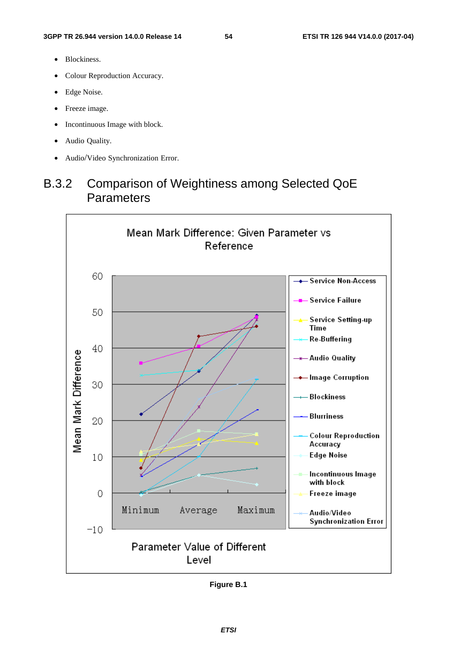- Blockiness.
- Colour Reproduction Accuracy.
- Edge Noise.
- Freeze image.
- Incontinuous Image with block.
- Audio Quality.
- Audio/Video Synchronization Error.

## B.3.2 Comparison of Weightiness among Selected QoE **Parameters**



**Figure B.1**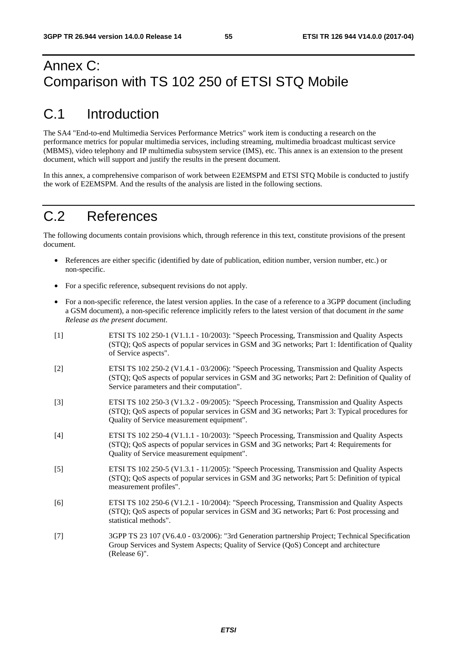## Annex C: Comparison with TS 102 250 of ETSI STQ Mobile

## C.1 Introduction

The SA4 "End-to-end Multimedia Services Performance Metrics" work item is conducting a research on the performance metrics for popular multimedia services, including streaming, multimedia broadcast multicast service (MBMS), video telephony and IP multimedia subsystem service (IMS), etc. This annex is an extension to the present document, which will support and justify the results in the present document.

In this annex, a comprehensive comparison of work between E2EMSPM and ETSI STQ Mobile is conducted to justify the work of E2EMSPM. And the results of the analysis are listed in the following sections.

## C.2 References

The following documents contain provisions which, through reference in this text, constitute provisions of the present document.

- References are either specific (identified by date of publication, edition number, version number, etc.) or non-specific.
- For a specific reference, subsequent revisions do not apply.
- For a non-specific reference, the latest version applies. In the case of a reference to a 3GPP document (including a GSM document), a non-specific reference implicitly refers to the latest version of that document *in the same Release as the present document*.
- [1] ETSI TS 102 250-1 (V1.1.1 10/2003): "Speech Processing, Transmission and Quality Aspects (STQ); QoS aspects of popular services in GSM and 3G networks; Part 1: Identification of Quality of Service aspects".
- [2] ETSI TS 102 250-2 (V1.4.1 03/2006): "Speech Processing, Transmission and Quality Aspects (STQ); QoS aspects of popular services in GSM and 3G networks; Part 2: Definition of Quality of Service parameters and their computation".
- [3] ETSI TS 102 250-3 (V1.3.2 09/2005): "Speech Processing, Transmission and Quality Aspects (STQ); QoS aspects of popular services in GSM and 3G networks; Part 3: Typical procedures for Quality of Service measurement equipment".
- [4] ETSI TS 102 250-4 (V1.1.1 10/2003): "Speech Processing, Transmission and Quality Aspects (STQ); QoS aspects of popular services in GSM and 3G networks; Part 4: Requirements for Quality of Service measurement equipment".
- [5] ETSI TS 102 250-5 (V1.3.1 11/2005): "Speech Processing, Transmission and Quality Aspects (STQ); QoS aspects of popular services in GSM and 3G networks; Part 5: Definition of typical measurement profiles".
- [6] ETSI TS 102 250-6 (V1.2.1 10/2004): "Speech Processing, Transmission and Quality Aspects (STQ); QoS aspects of popular services in GSM and 3G networks; Part 6: Post processing and statistical methods".
- [7] 3GPP TS 23 107 (V6.4.0 03/2006): "3rd Generation partnership Project; Technical Specification Group Services and System Aspects; Quality of Service (QoS) Concept and architecture (Release 6)".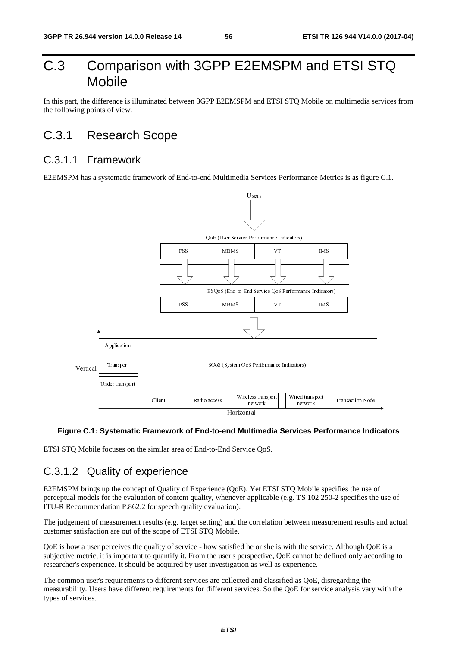## C.3 Comparison with 3GPP E2EMSPM and ETSI STQ Mobile

In this part, the difference is illuminated between 3GPP E2EMSPM and ETSI STO Mobile on multimedia services from the following points of view.

## C.3.1 Research Scope

### C.3.1.1 Framework

E2EMSPM has a systematic framework of End-to-end Multimedia Services Performance Metrics is as figure C.1.



#### **Figure C.1: Systematic Framework of End-to-end Multimedia Services Performance Indicators**

ETSI STQ Mobile focuses on the similar area of End-to-End Service QoS.

## C.3.1.2 Quality of experience

Client Radio access Horizontal<br>
Horizontal<br>
Horizontal<br>
imilar area of End-to-End Service QoS.<br> **Clience**<br> **Clience**<br> **Clience**<br> **Clience**<br> **Clience**<br> **Clience**<br> **Clience**<br> **Clience**<br> **Clience**<br> **Clience**<br> **Clience**<br> **Clie** International<br>**Transferience**<br>The correl<br>The original<br>Transferience<br>The Sepection<br>Correl<br>The Sepection<br>Correl<br>The Sepection<br>Correl<br>Correl<br>Sepection<br>Correl<br>Sepection<br>Correl<br>Sepection<br>Sepection<br>Sepection<br>Sepection<br>Sepection<br> The Mobile strategy<br>
The Mobile strategy<br>
TS 102 2.<br>
TS 102 2.<br>
Etween mea:<br>
The service cannot be deperience.<br>
The SQOE, do as QOE, do ISOE for service. network<br>
ices Performance Indi<br>
IS 102 250-2 specifies th<br>
reen measurement results<br>
the service. Although Qo<br>
innot be defined only acc<br>
rience.<br>
s QoE, disregarding the<br>
l for service analysis vary E2EMSPM brings up the concept of Quality of Experience (QoE). Yet ETSI STQ Mobile specifies the use of perceptual models for the evaluation of content quality, whenever applicable (e.g. TS 102 250-2 specifies the use of ITU-R Recommendation P.862.2 for speech quality evaluation).

The judgement of measurement results (e.g. target setting) and the correlation between measurement results and actual customer satisfaction are out of the scope of ETSI STQ Mobile.

QoE is how a user perceives the quality of service - how satisfied he or she is with the service. Although QoE is a subjective metric, it is important to quantify it. From the user's perspective, QoE cannot be defined only according to researcher's experience. It should be acquired by user investigation as well as experience.

The common user's requirements to different services are collected and classified as QoE, disregarding the measurability. Users have different requirements for different services. So the QoE for service analysis vary with the types of services.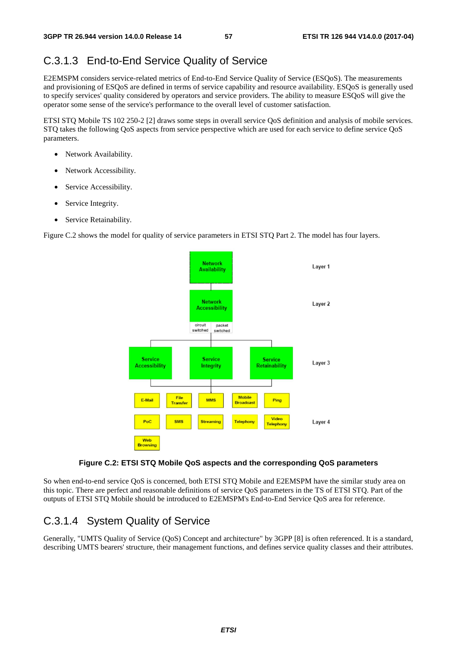### C.3.1.3 End-to-End Service Quality of Service

E2EMSPM considers service-related metrics of End-to-End Service Quality of Service (ESQoS). The measurements and provisioning of ESQoS are defined in terms of service capability and resource availability. ESQoS is generally used to specify services' quality considered by operators and service providers. The ability to measure ESQoS will give the operator some sense of the service's performance to the overall level of customer satisfaction.

ETSI STQ Mobile TS 102 250-2 [2] draws some steps in overall service QoS definition and analysis of mobile services. STQ takes the following QoS aspects from service perspective which are used for each service to define service QoS parameters.

- Network Availability.
- Network Accessibility.
- Service Accessibility.
- Service Integrity.
- Service Retainability.

Figure C.2 shows the model for quality of service parameters in ETSI STQ Part 2. The model has four layers.



#### **Figure C.2: ETSI STQ Mobile QoS aspects and the corresponding QoS parameters**

So when end-to-end service QoS is concerned, both ETSI STQ Mobile and E2EMSPM have the similar study area on this topic. There are perfect and reasonable definitions of service QoS parameters in the TS of ETSI STQ. Part of the outputs of ETSI STQ Mobile should be introduced to E2EMSPM's End-to-End Service QoS area for reference.

### C.3.1.4 System Quality of Service

Generally, "UMTS Quality of Service (QoS) Concept and architecture" by 3GPP [8] is often referenced. It is a standard, describing UMTS bearers' structure, their management functions, and defines service quality classes and their attributes.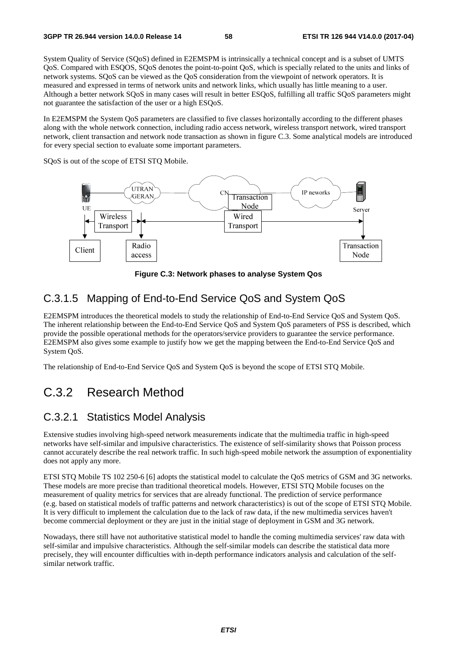System Quality of Service (SQoS) defined in E2EMSPM is intrinsically a technical concept and is a subset of UMTS QoS. Compared with ESQOS, SQoS denotes the point-to-point QoS, which is specially related to the units and links of network systems. SQoS can be viewed as the QoS consideration from the viewpoint of network operators. It is measured and expressed in terms of network units and network links, which usually has little meaning to a user. Although a better network SQoS in many cases will result in better ESQoS, fulfilling all traffic SQoS parameters might not guarantee the satisfaction of the user or a high ESQoS.

In E2EMSPM the System QoS parameters are classified to five classes horizontally according to the different phases along with the whole network connection, including radio access network, wireless transport network, wired transport network, client transaction and network node transaction as shown in figure C.3. Some analytical models are introduced for every special section to evaluate some important parameters.

SQoS is out of the scope of ETSI STQ Mobile.



**Figure C.3: Network phases to analyse System Qos** 

### C.3.1.5 Mapping of End-to-End Service QoS and System QoS

E2EMSPM introduces the theoretical models to study the relationship of End-to-End Service QoS and System QoS. The inherent relationship between the End-to-End Service QoS and System QoS parameters of PSS is described, which provide the possible operational methods for the operators/service providers to guarantee the service performance. E2EMSPM also gives some example to justify how we get the mapping between the End-to-End Service QoS and System QoS.

The relationship of End-to-End Service QoS and System QoS is beyond the scope of ETSI STQ Mobile.

## C.3.2 Research Method

### C.3.2.1 Statistics Model Analysis

Extensive studies involving high-speed network measurements indicate that the multimedia traffic in high-speed networks have self-similar and impulsive characteristics. The existence of self-similarity shows that Poisson process cannot accurately describe the real network traffic. In such high-speed mobile network the assumption of exponentiality does not apply any more.

ETSI STQ Mobile TS 102 250-6 [6] adopts the statistical model to calculate the QoS metrics of GSM and 3G networks. These models are more precise than traditional theoretical models. However, ETSI STQ Mobile focuses on the measurement of quality metrics for services that are already functional. The prediction of service performance (e.g. based on statistical models of traffic patterns and network characteristics) is out of the scope of ETSI STQ Mobile. It is very difficult to implement the calculation due to the lack of raw data, if the new multimedia services haven't become commercial deployment or they are just in the initial stage of deployment in GSM and 3G network.

Nowadays, there still have not authoritative statistical model to handle the coming multimedia services' raw data with self-similar and impulsive characteristics. Although the self-similar models can describe the statistical data more precisely, they will encounter difficulties with in-depth performance indicators analysis and calculation of the selfsimilar network traffic.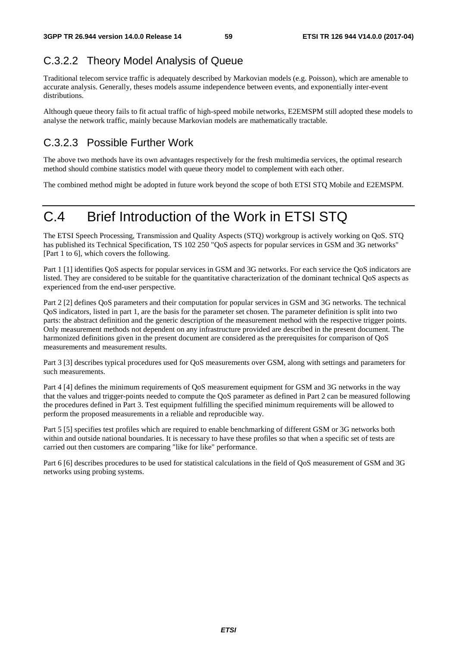## C.3.2.2 Theory Model Analysis of Queue

Traditional telecom service traffic is adequately described by Markovian models (e.g. Poisson), which are amenable to accurate analysis. Generally, theses models assume independence between events, and exponentially inter-event distributions.

Although queue theory fails to fit actual traffic of high-speed mobile networks, E2EMSPM still adopted these models to analyse the network traffic, mainly because Markovian models are mathematically tractable.

## C.3.2.3 Possible Further Work

The above two methods have its own advantages respectively for the fresh multimedia services, the optimal research method should combine statistics model with queue theory model to complement with each other.

The combined method might be adopted in future work beyond the scope of both ETSI STQ Mobile and E2EMSPM.

# C.4 Brief Introduction of the Work in ETSI STQ

The ETSI Speech Processing, Transmission and Quality Aspects (STQ) workgroup is actively working on QoS. STQ has published its Technical Specification, TS 102 250 "QoS aspects for popular services in GSM and 3G networks" [Part 1 to 6], which covers the following.

Part 1 [1] identifies QoS aspects for popular services in GSM and 3G networks. For each service the QoS indicators are listed. They are considered to be suitable for the quantitative characterization of the dominant technical QoS aspects as experienced from the end-user perspective.

Part 2 [2] defines QoS parameters and their computation for popular services in GSM and 3G networks. The technical QoS indicators, listed in part 1, are the basis for the parameter set chosen. The parameter definition is split into two parts: the abstract definition and the generic description of the measurement method with the respective trigger points. Only measurement methods not dependent on any infrastructure provided are described in the present document. The harmonized definitions given in the present document are considered as the prerequisites for comparison of QoS measurements and measurement results.

Part 3 [3] describes typical procedures used for QoS measurements over GSM, along with settings and parameters for such measurements.

Part 4 [4] defines the minimum requirements of QoS measurement equipment for GSM and 3G networks in the way that the values and trigger-points needed to compute the QoS parameter as defined in Part 2 can be measured following the procedures defined in Part 3. Test equipment fulfilling the specified minimum requirements will be allowed to perform the proposed measurements in a reliable and reproducible way.

Part 5 [5] specifies test profiles which are required to enable benchmarking of different GSM or 3G networks both within and outside national boundaries. It is necessary to have these profiles so that when a specific set of tests are carried out then customers are comparing "like for like" performance.

Part 6 [6] describes procedures to be used for statistical calculations in the field of QoS measurement of GSM and 3G networks using probing systems.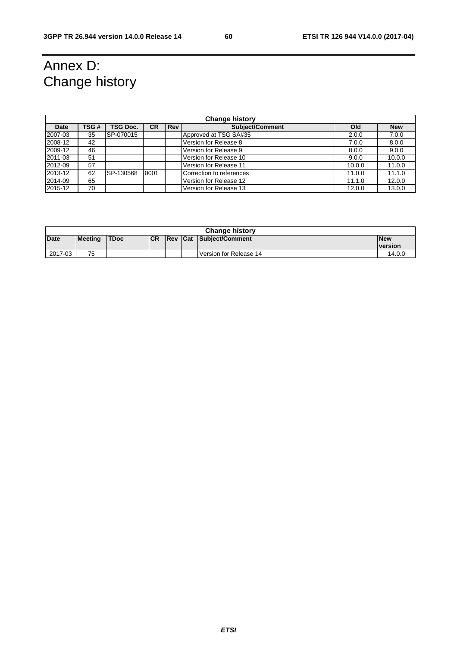# Annex D: Change history

| <b>Change history</b> |      |                 |           |     |                          |        |            |
|-----------------------|------|-----------------|-----------|-----|--------------------------|--------|------------|
| <b>Date</b>           | TSG# | <b>TSG Doc.</b> | <b>CR</b> | Rev | <b>Subject/Comment</b>   | Old    | <b>New</b> |
| 2007-03               | 35   | SP-070015       |           |     | Approved at TSG SA#35    | 2.0.0  | 7.0.0      |
| 2008-12               | 42   |                 |           |     | Version for Release 8    | 7.0.0  | 8.0.0      |
| 2009-12               | 46   |                 |           |     | Version for Release 9    | 8.0.0  | 9.0.0      |
| 2011-03               | 51   |                 |           |     | Version for Release 10   | 9.0.0  | 10.0.0     |
| 2012-09               | 57   |                 |           |     | Version for Release 11   | 10.0.0 | 11.0.0     |
| 2013-12               | 62   | SP-130568       | 0001      |     | Correction to references | 11.0.0 | 11.1.0     |
| 2014-09               | 65   |                 |           |     | Version for Release 12   | 11.1.0 | 12.0.0     |
| 2015-12               | 70   |                 |           |     | Version for Release 13   | 12.0.0 | 13.0.0     |

| <b>Change history</b> |         |             |            |  |  |                                |                |
|-----------------------|---------|-------------|------------|--|--|--------------------------------|----------------|
| <b>Date</b>           | Meeting | <b>TDoc</b> | <b>ICR</b> |  |  | <b>Rev Cat Subiect/Comment</b> | <b>New</b>     |
|                       |         |             |            |  |  |                                | <b>version</b> |
| 2017-03               | 75      |             |            |  |  | <b>Version for Release 14</b>  | 14.0.0         |